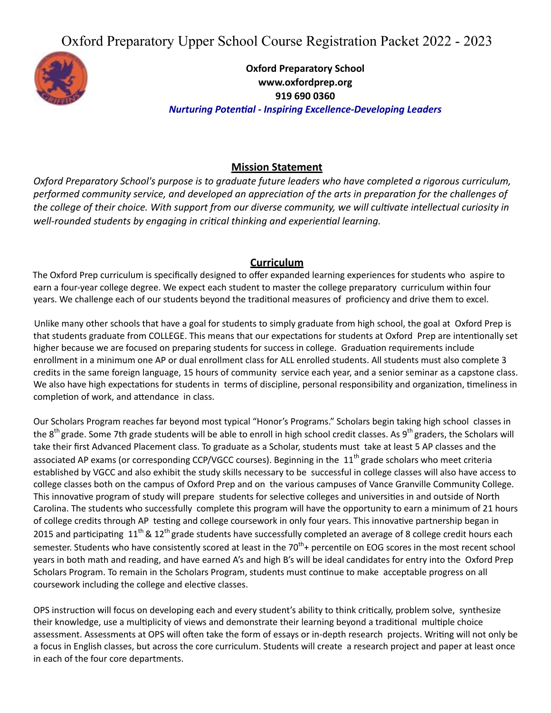Oxford Preparatory Upper School Course Registration Packet 2022 - 2023



**Oxford Preparatory School www.oxfordprep.org 919 690 0360** *Nurturing Potenal - Inspiring Excellence-Developing Leaders*

# **Mission Statement**

*Oxford Preparatory School's purpose is to graduate future leaders who have completed a rigorous curriculum,* performed community service, and developed an appreciation of the arts in preparation for the challenges of the college of their choice. With support from our diverse community, we will cultivate intellectual curiosity in well-rounded students by engaging in critical thinking and experiential learning.

#### **Curriculum**

The Oxford Prep curriculum is specifically designed to offer expanded learning experiences for students who aspire to earn a four-year college degree. We expect each student to master the college preparatory curriculum within four years. We challenge each of our students beyond the traditional measures of proficiency and drive them to excel.

Unlike many other schools that have a goal for students to simply graduate from high school, the goal at Oxford Prep is that students graduate from COLLEGE. This means that our expectations for students at Oxford Prep are intentionally set higher because we are focused on preparing students for success in college. Graduation requirements include enrollment in a minimum one AP or dual enrollment class for ALL enrolled students. All students must also complete 3 credits in the same foreign language, 15 hours of community service each year, and a senior seminar as a capstone class. We also have high expectations for students in terms of discipline, personal responsibility and organization, timeliness in completion of work, and attendance in class.

Our Scholars Program reaches far beyond most typical "Honor's Programs." Scholars begin taking high school classes in the 8<sup>th</sup> grade. Some 7th grade students will be able to enroll in high school credit classes. As 9<sup>th</sup> graders, the Scholars will take their first Advanced Placement class. To graduate as a Scholar, students must take at least 5 AP classes and the associated AP exams (or corresponding CCP/VGCC courses). Beginning in the 11<sup>th</sup> grade scholars who meet criteria established by VGCC and also exhibit the study skills necessary to be successful in college classes will also have access to college classes both on the campus of Oxford Prep and on the various campuses of Vance Granville Community College. This innovative program of study will prepare students for selective colleges and universities in and outside of North Carolina. The students who successfully complete this program will have the opportunity to earn a minimum of 21 hours of college credits through AP testing and college coursework in only four years. This innovative partnership began in 2015 and participating  $11<sup>th</sup>$  &  $12<sup>th</sup>$  grade students have successfully completed an average of 8 college credit hours each semester. Students who have consistently scored at least in the 70<sup>th</sup>+ percentile on EOG scores in the most recent school years in both math and reading, and have earned A's and high B's will be ideal candidates for entry into the Oxford Prep Scholars Program. To remain in the Scholars Program, students must continue to make acceptable progress on all coursework including the college and elective classes.

OPS instruction will focus on developing each and every student's ability to think critically, problem solve, synthesize their knowledge, use a multiplicity of views and demonstrate their learning beyond a traditional multiple choice assessment. Assessments at OPS will often take the form of essays or in-depth research projects. Writing will not only be a focus in English classes, but across the core curriculum. Students will create a research project and paper at least once in each of the four core departments.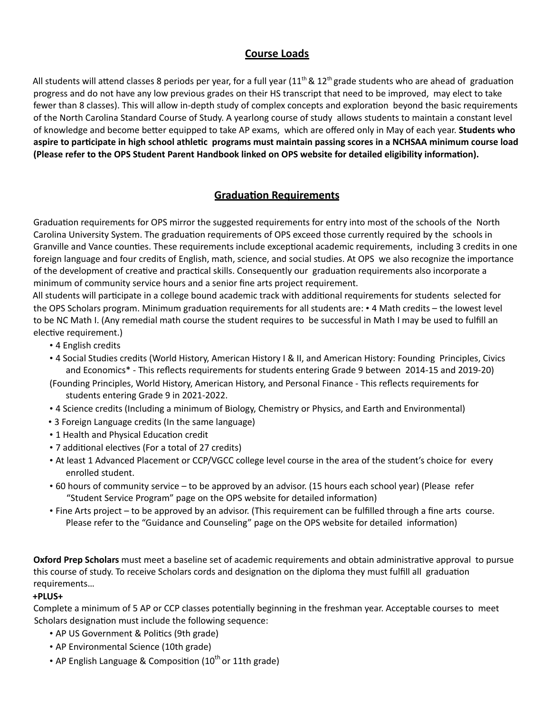# **Course Loads**

All students will attend classes 8 periods per year, for a full year (11<sup>th</sup> & 12<sup>th</sup> grade students who are ahead of graduation progress and do not have any low previous grades on their HS transcript that need to be improved, may elect to take fewer than 8 classes). This will allow in-depth study of complex concepts and exploration beyond the basic requirements of the North Carolina Standard Course of Study. A yearlong course of study allows students to maintain a constant level of knowledge and become beer equipped to take AP exams, which are offered only in May of each year. **Students who** aspire to participate in high school athletic programs must maintain passing scores in a NCHSAA minimum course load **(Please refer to the OPS Student Parent Handbook linked on OPS website for detailed eligibility informaon).**

# **Graduation Requirements**

Graduation requirements for OPS mirror the suggested requirements for entry into most of the schools of the North Carolina University System. The graduation requirements of OPS exceed those currently required by the schools in Granville and Vance counties. These requirements include exceptional academic requirements, including 3 credits in one foreign language and four credits of English, math, science, and social studies. At OPS we also recognize the importance of the development of creative and practical skills. Consequently our graduation requirements also incorporate a minimum of community service hours and a senior fine arts project requirement.

All students will participate in a college bound academic track with additional requirements for students selected for the OPS Scholars program. Minimum graduation requirements for all students are: • 4 Math credits – the lowest level to be NC Math I. (Any remedial math course the student requires to be successful in Math I may be used to fulfill an elective requirement.)

- 4 English credits
- 4 Social Studies credits (World History, American History I & II, and American History: Founding Principles, Civics and Economics\* - This reflects requirements for students entering Grade 9 between 2014-15 and 2019-20)
- (Founding Principles, World History, American History, and Personal Finance This reflects requirements for students entering Grade 9 in 2021-2022.
- 4 Science credits (Including a minimum of Biology, Chemistry or Physics, and Earth and Environmental)
- 3 Foreign Language credits (In the same language)
- 1 Health and Physical Education credit
- 7 additional electives (For a total of 27 credits)
- At least 1 Advanced Placement or CCP/VGCC college level course in the area of the student's choice for every enrolled student.
- 60 hours of community service to be approved by an advisor. (15 hours each school year) (Please refer "Student Service Program" page on the OPS website for detailed information)
- Fine Arts project to be approved by an advisor. (This requirement can be fulfilled through a fine arts course. Please refer to the "Guidance and Counseling" page on the OPS website for detailed information)

**Oxford Prep Scholars** must meet a baseline set of academic requirements and obtain administrative approval to pursue this course of study. To receive Scholars cords and designation on the diploma they must fulfill all graduation requirements…

#### **+PLUS+**

Complete a minimum of 5 AP or CCP classes potentially beginning in the freshman year. Acceptable courses to meet Scholars designation must include the following sequence:

- AP US Government & Politics (9th grade)
- AP Environmental Science (10th grade)
- AP English Language & Composition (10<sup>th</sup> or 11th grade)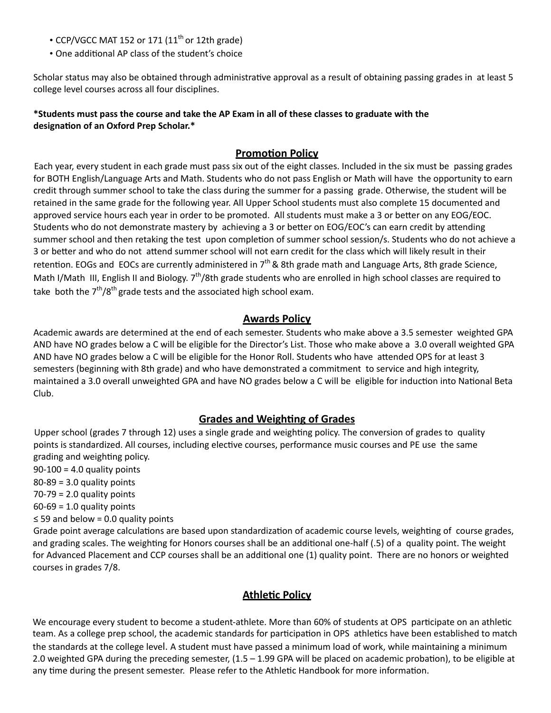- CCP/VGCC MAT 152 or 171 (11<sup>th</sup> or 12th grade)
- One additional AP class of the student's choice

Scholar status may also be obtained through administrative approval as a result of obtaining passing grades in at least 5 college level courses across all four disciplines.

#### \*Students must pass the course and take the AP Exam in all of these classes to graduate with the **designation of an Oxford Prep Scholar.\***

#### **Promotion Policy**

Each year, every student in each grade must pass six out of the eight classes. Included in the six must be passing grades for BOTH English/Language Arts and Math. Students who do not pass English or Math will have the opportunity to earn credit through summer school to take the class during the summer for a passing grade. Otherwise, the student will be retained in the same grade for the following year. All Upper School students must also complete 15 documented and approved service hours each year in order to be promoted. All students must make a 3 or better on any EOG/EOC. Students who do not demonstrate mastery by achieving a 3 or better on EOG/EOC's can earn credit by attending summer school and then retaking the test upon completion of summer school session/s. Students who do not achieve a 3 or better and who do not attend summer school will not earn credit for the class which will likely result in their retention. EOGs and EOCs are currently administered in  $7<sup>th</sup>$  & 8th grade math and Language Arts, 8th grade Science, Math I/Math III, English II and Biology. 7<sup>th</sup>/8th grade students who are enrolled in high school classes are required to take both the  $7<sup>th</sup>/8<sup>th</sup>$ grade tests and the associated high school exam.

#### **Awards Policy**

Academic awards are determined at the end of each semester. Students who make above a 3.5 semester weighted GPA AND have NO grades below a C will be eligible for the Director's List. Those who make above a 3.0 overall weighted GPA AND have NO grades below a C will be eligible for the Honor Roll. Students who have attended OPS for at least 3 semesters (beginning with 8th grade) and who have demonstrated a commitment to service and high integrity, maintained a 3.0 overall unweighted GPA and have NO grades below a C will be eligible for induction into National Beta Club.

# **Grades and Weighting of Grades**

Upper school (grades 7 through 12) uses a single grade and weighting policy. The conversion of grades to quality points is standardized. All courses, including elective courses, performance music courses and PE use the same grading and weighting policy.

 $90-100 = 4.0$  quality points  $80-89 = 3.0$  quality points  $70-79 = 2.0$  quality points  $60-69 = 1.0$  quality points ≤ 59 and below = 0.0 quality points Grade point average calculations are based upon standardization of academic course levels, weighting of course grades, and grading scales. The weighting for Honors courses shall be an additional one-half (.5) of a quality point. The weight for Advanced Placement and CCP courses shall be an additional one (1) quality point. There are no honors or weighted courses in grades 7/8.

#### **Athletic Policy**

We encourage every student to become a student-athlete. More than 60% of students at OPS participate on an athletic team. As a college prep school, the academic standards for participation in OPS athletics have been established to match the standards at the college level. A student must have passed a minimum load of work, while maintaining a minimum 2.0 weighted GPA during the preceding semester,  $(1.5 - 1.99$  GPA will be placed on academic probation), to be eligible at any time during the present semester. Please refer to the Athletic Handbook for more information.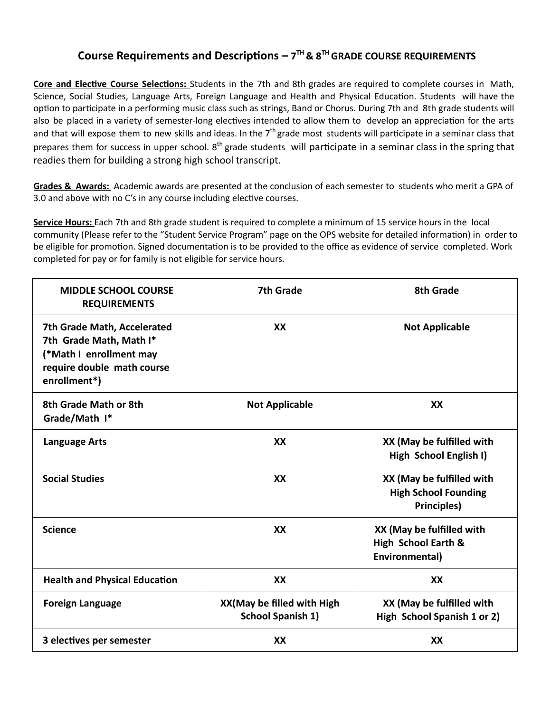# **Course Requirements and Descriptions** –  $7<sup>TH</sup>$  &  $8<sup>TH</sup>$  GRADE COURSE REQUIREMENTS

**Core and Elective Course Selections:** Students in the 7th and 8th grades are required to complete courses in Math, Science, Social Studies, Language Arts, Foreign Language and Health and Physical Education. Students will have the option to participate in a performing music class such as strings, Band or Chorus. During 7th and 8th grade students will also be placed in a variety of semester-long electives intended to allow them to develop an appreciation for the arts and that will expose them to new skills and ideas. In the 7<sup>th</sup> grade most students will participate in a seminar class that prepares them for success in upper school. 8<sup>th</sup> grade students will participate in a seminar class in the spring that readies them for building a strong high school transcript.

**Grades & Awards:** Academic awards are presented at the conclusion of each semester to students who merit a GPA of 3.0 and above with no C's in any course including elective courses.

**Service Hours:** Each 7th and 8th grade student is required to complete a minimum of 15 service hours in the local community (Please refer to the "Student Service Program" page on the OPS website for detailed information) in order to be eligible for promotion. Signed documentation is to be provided to the office as evidence of service completed. Work completed for pay or for family is not eligible for service hours.

| <b>MIDDLE SCHOOL COURSE</b><br><b>REQUIREMENTS</b>                                                                              | <b>7th Grade</b>                                       | 8th Grade                                                                      |
|---------------------------------------------------------------------------------------------------------------------------------|--------------------------------------------------------|--------------------------------------------------------------------------------|
| 7th Grade Math, Accelerated<br>7th Grade Math, Math I*<br>(*Math I enrollment may<br>require double math course<br>enrollment*) | XX                                                     | <b>Not Applicable</b>                                                          |
| 8th Grade Math or 8th<br>Grade/Math I*                                                                                          | <b>Not Applicable</b>                                  | XX                                                                             |
| <b>Language Arts</b>                                                                                                            | XX                                                     | XX (May be fulfilled with<br>High School English I)                            |
| <b>Social Studies</b>                                                                                                           | XX                                                     | XX (May be fulfilled with<br><b>High School Founding</b><br><b>Principles)</b> |
| <b>Science</b>                                                                                                                  | XX                                                     | XX (May be fulfilled with<br>High School Earth &<br>Environmental)             |
| <b>Health and Physical Education</b>                                                                                            | XX                                                     | XX                                                                             |
| <b>Foreign Language</b>                                                                                                         | XX(May be filled with High<br><b>School Spanish 1)</b> | XX (May be fulfilled with<br>High School Spanish 1 or 2)                       |
| 3 electives per semester                                                                                                        | XX                                                     | XX                                                                             |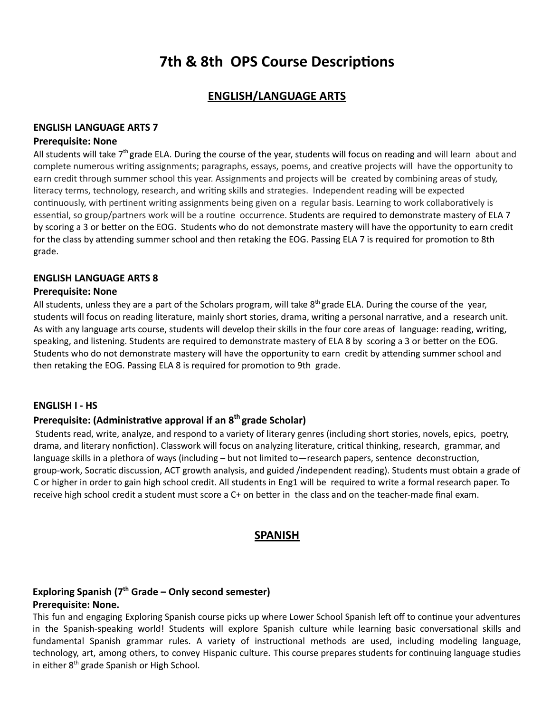# **7th & 8th OPS Course Descriptions**

# **ENGLISH/LANGUAGE ARTS**

#### **ENGLISH LANGUAGE ARTS 7**

#### **Prerequisite: None**

All students will take  $7<sup>th</sup>$  grade ELA. During the course of the year, students will focus on reading and will learn about and complete numerous writing assignments; paragraphs, essays, poems, and creative projects will have the opportunity to earn credit through summer school this year. Assignments and projects will be created by combining areas of study, literacy terms, technology, research, and writing skills and strategies. Independent reading will be expected continuously, with pertinent writing assignments being given on a regular basis. Learning to work collaboratively is essential, so group/partners work will be a routine occurrence. Students are required to demonstrate mastery of ELA 7 by scoring a 3 or better on the EOG. Students who do not demonstrate mastery will have the opportunity to earn credit for the class by attending summer school and then retaking the EOG. Passing ELA 7 is required for promotion to 8th grade.

#### **ENGLISH LANGUAGE ARTS 8**

#### **Prerequisite: None**

All students, unless they are a part of the Scholars program, will take 8<sup>th</sup> grade ELA. During the course of the year, students will focus on reading literature, mainly short stories, drama, writing a personal narrative, and a research unit. As with any language arts course, students will develop their skills in the four core areas of language: reading, writing, speaking, and listening. Students are required to demonstrate mastery of ELA 8 by scoring a 3 or better on the EOG. Students who do not demonstrate mastery will have the opportunity to earn credit by attending summer school and then retaking the EOG. Passing ELA 8 is required for promotion to 9th grade.

#### **ENGLISH I - HS**

#### **Prerequisite: (Administrative approval if an 8<sup>th</sup> grade Scholar)**

Students read, write, analyze, and respond to a variety of literary genres (including short stories, novels, epics, poetry, drama, and literary nonfiction). Classwork will focus on analyzing literature, critical thinking, research, grammar, and language skills in a plethora of ways (including – but not limited to—research papers, sentence deconstruction, group-work, Socratic discussion, ACT growth analysis, and guided /independent reading). Students must obtain a grade of C or higher in order to gain high school credit. All students in Eng1 will be required to write a formal research paper. To receive high school credit a student must score a C+ on better in the class and on the teacher-made final exam.

#### **SPANISH**

#### **Exploring Spanish (7th Grade – Only second semester) Prerequisite: None.**

This fun and engaging Exploring Spanish course picks up where Lower School Spanish left off to continue your adventures in the Spanish-speaking world! Students will explore Spanish culture while learning basic conversational skills and fundamental Spanish grammar rules. A variety of instructional methods are used, including modeling language, technology, art, among others, to convey Hispanic culture. This course prepares students for continuing language studies in either 8<sup>th</sup> grade Spanish or High School.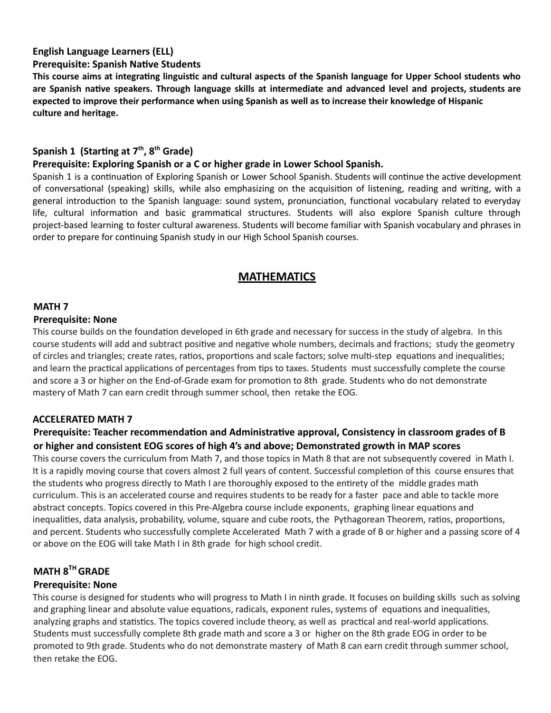#### **English Language Learners (ELL)**

#### **Prerequisite: Spanish Native Students**

This course aims at integrating linguistic and cultural aspects of the Spanish language for Upper School students who **are Spanish nave speakers. Through language skills at intermediate and advanced level and projects, students are** expected to improve their performance when using Spanish as well as to increase their knowledge of Hispanic **culture and heritage.**

#### Spanish 1 (Starting at 7<sup>th</sup>, 8<sup>th</sup> Grade)

#### **Prerequisite: Exploring Spanish or a C or higher grade in Lower School Spanish.**

Spanish 1 is a continuation of Exploring Spanish or Lower School Spanish. Students will continue the active development of conversational (speaking) skills, while also emphasizing on the acquisition of listening, reading and writing, with a general introduction to the Spanish language: sound system, pronunciation, functional vocabulary related to everyday life, cultural information and basic grammatical structures. Students will also explore Spanish culture through project-based learning to foster cultural awareness. Students will become familiar with Spanish vocabulary and phrases in order to prepare for continuing Spanish study in our High School Spanish courses.

# **MATHEMATICS**

#### **MATH 7**

#### **Prerequisite: None**

This course builds on the foundation developed in 6th grade and necessary for success in the study of algebra. In this course students will add and subtract positive and negative whole numbers, decimals and fractions; study the geometry of circles and triangles; create rates, ratios, proportions and scale factors; solve multi-step equations and inequalities; and learn the practical applications of percentages from tips to taxes. Students must successfully complete the course and score a 3 or higher on the End-of-Grade exam for promotion to 8th grade. Students who do not demonstrate mastery of Math 7 can earn credit through summer school, then retake the EOG.

#### **ACCELERATED MATH 7**

# Prerequisite: Teacher recommendation and Administrative approval, Consistency in classroom grades of B **or higher and consistent EOG scores of high 4's and above; Demonstrated growth in MAP scores**

This course covers the curriculum from Math 7, and those topics in Math 8 that are not subsequently covered in Math I. It is a rapidly moving course that covers almost 2 full years of content. Successful completion of this course ensures that the students who progress directly to Math I are thoroughly exposed to the entirety of the middle grades math curriculum. This is an accelerated course and requires students to be ready for a faster pace and able to tackle more abstract concepts. Topics covered in this Pre-Algebra course include exponents, graphing linear equations and inequalities, data analysis, probability, volume, square and cube roots, the Pythagorean Theorem, ratios, proportions, and percent. Students who successfully complete Accelerated Math 7 with a grade of B or higher and a passing score of 4 or above on the EOG will take Math I in 8th grade for high school credit.

#### **MATH 8THGRADE**

#### **Prerequisite: None**

This course is designed for students who will progress to Math I in ninth grade. It focuses on building skills such as solving and graphing linear and absolute value equations, radicals, exponent rules, systems of equations and inequalities, analyzing graphs and statistics. The topics covered include theory, as well as practical and real-world applications. Students must successfully complete 8th grade math and score a 3 or higher on the 8th grade EOG in order to be promoted to 9th grade. Students who do not demonstrate mastery of Math 8 can earn credit through summer school, then retake the EOG.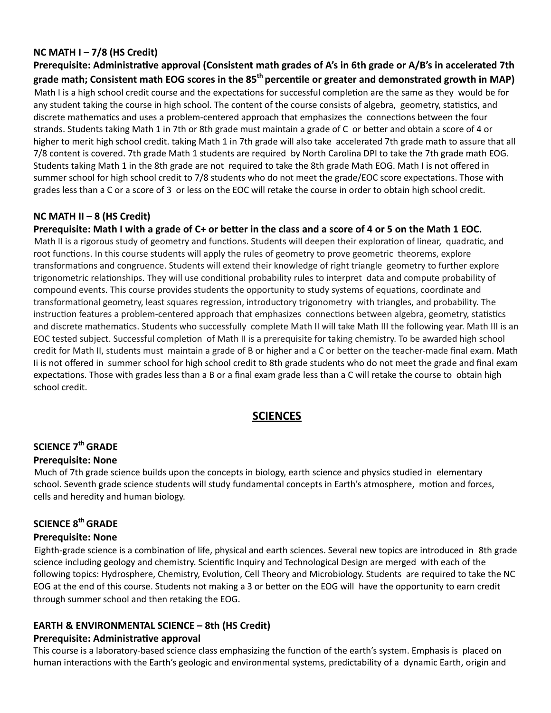#### **NC MATH I – 7/8 (HS Credit)**

Prerequisite: Administrative approval (Consistent math grades of A's in 6th grade or A/B's in accelerated 7th **grade math; Consistent math EOG scores in the 85th percenle or greater and demonstrated growth in MAP)** Math I is a high school credit course and the expectations for successful completion are the same as they would be for any student taking the course in high school. The content of the course consists of algebra, geometry, statistics, and discrete mathematics and uses a problem-centered approach that emphasizes the connections between the four strands. Students taking Math 1 in 7th or 8th grade must maintain a grade of C or better and obtain a score of 4 or higher to merit high school credit. taking Math 1 in 7th grade will also take accelerated 7th grade math to assure that all 7/8 content is covered. 7th grade Math 1 students are required by North Carolina DPI to take the 7th grade math EOG. Students taking Math 1 in the 8th grade are not required to take the 8th grade Math EOG. Math I is not offered in summer school for high school credit to 7/8 students who do not meet the grade/EOC score expectations. Those with grades less than a C or a score of 3 or less on the EOC will retake the course in order to obtain high school credit.

#### **NC MATH II – 8 (HS Credit)**

#### Prerequisite: Math I with a grade of C+ or better in the class and a score of 4 or 5 on the Math 1 EOC.

Math II is a rigorous study of geometry and functions. Students will deepen their exploration of linear, quadratic, and root functions. In this course students will apply the rules of geometry to prove geometric theorems, explore transformations and congruence. Students will extend their knowledge of right triangle geometry to further explore trigonometric relationships. They will use conditional probability rules to interpret data and compute probability of compound events. This course provides students the opportunity to study systems of equations, coordinate and transformational geometry, least squares regression, introductory trigonometry with triangles, and probability. The instruction features a problem-centered approach that emphasizes connections between algebra, geometry, statistics and discrete mathematics. Students who successfully complete Math II will take Math III the following year. Math III is an EOC tested subject. Successful completion of Math II is a prerequisite for taking chemistry. To be awarded high school credit for Math II, students must maintain a grade of B or higher and a C or better on the teacher-made final exam. Math Ii is not offered in summer school for high school credit to 8th grade students who do not meet the grade and final exam expectations. Those with grades less than a B or a final exam grade less than a C will retake the course to obtain high school credit.

# **SCIENCES**

# **SCIENCE 7thGRADE**

#### **Prerequisite: None**

Much of 7th grade science builds upon the concepts in biology, earth science and physics studied in elementary school. Seventh grade science students will study fundamental concepts in Earth's atmosphere, motion and forces, cells and heredity and human biology.

# **SCIENCE 8thGRADE Prerequisite: None**

Eighth-grade science is a combination of life, physical and earth sciences. Several new topics are introduced in 8th grade science including geology and chemistry. Scienfic Inquiry and Technological Design are merged with each of the following topics: Hydrosphere, Chemistry, Evolution, Cell Theory and Microbiology. Students are required to take the NC EOG at the end of this course. Students not making a 3 or better on the EOG will have the opportunity to earn credit through summer school and then retaking the EOG.

#### **EARTH & ENVIRONMENTAL SCIENCE – 8th (HS Credit) Prerequisite: Administrative approval**

This course is a laboratory-based science class emphasizing the function of the earth's system. Emphasis is placed on human interactions with the Earth's geologic and environmental systems, predictability of a dynamic Earth, origin and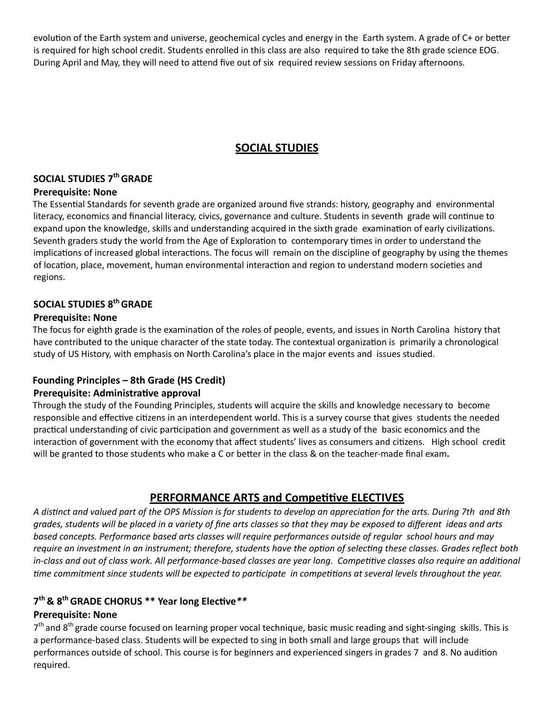evolution of the Earth system and universe, geochemical cycles and energy in the Earth system. A grade of C+ or better is required for high school credit. Students enrolled in this class are also required to take the 8th grade science EOG. During April and May, they will need to attend five out of six required review sessions on Friday afternoons.

# **SOCIAL STUDIES**

# **SOCIAL STUDIES 7thGRADE**

#### **Prerequisite: None**

The Essential Standards for seventh grade are organized around five strands: history, geography and environmental literacy, economics and financial literacy, civics, governance and culture. Students in seventh grade will continue to expand upon the knowledge, skills and understanding acquired in the sixth grade examination of early civilizations. Seventh graders study the world from the Age of Exploration to contemporary times in order to understand the implications of increased global interactions. The focus will remain on the discipline of geography by using the themes of location, place, movement, human environmental interaction and region to understand modern societies and regions.

# **SOCIAL STUDIES 8thGRADE**

#### **Prerequisite: None**

The focus for eighth grade is the examination of the roles of people, events, and issues in North Carolina history that have contributed to the unique character of the state today. The contextual organization is primarily a chronological study of US History, with emphasis on North Carolina's place in the major events and issues studied.

# **Founding Principles – 8th Grade (HS Credit)**

# **Prerequisite: Administrative approval**

Through the study of the Founding Principles, students will acquire the skills and knowledge necessary to become responsible and effective citizens in an interdependent world. This is a survey course that gives students the needed practical understanding of civic participation and government as well as a study of the basic economics and the interaction of government with the economy that affect students' lives as consumers and citizens. High school credit will be granted to those students who make a C or better in the class & on the teacher-made final exam.

# **PERFORMANCE ARTS and Competitive ELECTIVES**

A distinct and valued part of the OPS Mission is for students to develop an appreciation for the arts. During 7th and 8th grades, students will be placed in a variety of fine arts classes so that they may be exposed to different ideas and arts *based concepts. Performance based arts classes will require performances outside of regular school hours and may* require an investment in an instrument; therefore, students have the option of selecting these classes. Grades reflect both in-class and out of class work. All performance-based classes are year long. Competitive classes also require an additional time commitment since students will be expected to participate in competitions at several levels throughout the year.

# $7<sup>th</sup>$  & 8<sup>th</sup> GRADE CHORUS \*\* Year long Elective \*\*

# **Prerequisite: None**

7<sup>th</sup> and 8<sup>th</sup> grade course focused on learning proper vocal technique, basic music reading and sight-singing skills. This is a performance-based class. Students will be expected to sing in both small and large groups that will include performances outside of school. This course is for beginners and experienced singers in grades 7 and 8. No audition required.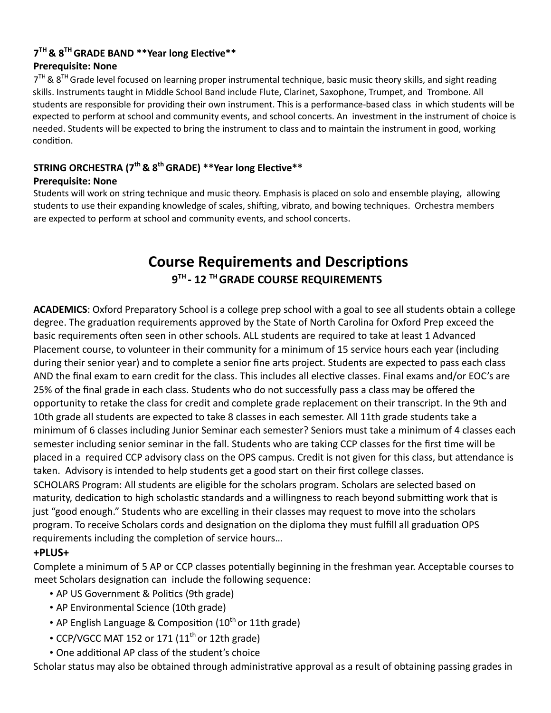# $7<sup>TH</sup>$  &  $8<sup>TH</sup>$  GRADE BAND \*\*Year long Elective\*\* **Prerequisite: None**

7<sup>TH</sup> & 8<sup>TH</sup> Grade level focused on learning proper instrumental technique, basic music theory skills, and sight reading skills. Instruments taught in Middle School Band include Flute, Clarinet, Saxophone, Trumpet, and Trombone. All students are responsible for providing their own instrument. This is a performance-based class in which students will be expected to perform at school and community events, and school concerts. An investment in the instrument of choice is needed. Students will be expected to bring the instrument to class and to maintain the instrument in good, working condition.

# **STRING ORCHESTRA (7<sup>th</sup> & 8<sup>th</sup> GRADE) \*\*Year long Elective\*\***

# **Prerequisite: None**

Students will work on string technique and music theory. Emphasis is placed on solo and ensemble playing, allowing students to use their expanding knowledge of scales, shifting, vibrato, and bowing techniques. Orchestra members are expected to perform at school and community events, and school concerts.

# **Course Requirements and Descriptions 9 TH - 12 THGRADE COURSE REQUIREMENTS**

**ACADEMICS**: Oxford Preparatory School is a college prep school with a goal to see all students obtain a college degree. The graduation requirements approved by the State of North Carolina for Oxford Prep exceed the basic requirements often seen in other schools. ALL students are required to take at least 1 Advanced Placement course, to volunteer in their community for a minimum of 15 service hours each year (including during their senior year) and to complete a senior fine arts project. Students are expected to pass each class AND the final exam to earn credit for the class. This includes all elective classes. Final exams and/or EOC's are 25% of the final grade in each class. Students who do not successfully pass a class may be offered the opportunity to retake the class for credit and complete grade replacement on their transcript. In the 9th and 10th grade all students are expected to take 8 classes in each semester. All 11th grade students take a minimum of 6 classes including Junior Seminar each semester? Seniors must take a minimum of 4 classes each semester including senior seminar in the fall. Students who are taking CCP classes for the first time will be placed in a required CCP advisory class on the OPS campus. Credit is not given for this class, but attendance is taken. Advisory is intended to help students get a good start on their first college classes.

SCHOLARS Program: All students are eligible for the scholars program. Scholars are selected based on maturity, dedication to high scholastic standards and a willingness to reach beyond submitting work that is just "good enough." Students who are excelling in their classes may request to move into the scholars program. To receive Scholars cords and designation on the diploma they must fulfill all graduation OPS requirements including the completion of service hours...

# **+PLUS+**

Complete a minimum of 5 AP or CCP classes potentially beginning in the freshman year. Acceptable courses to meet Scholars designation can include the following sequence:

- AP US Government & Politics (9th grade)
- AP Environmental Science (10th grade)
- AP English Language & Composition (10<sup>th</sup> or 11th grade)
- CCP/VGCC MAT 152 or 171  $(11<sup>th</sup>$  or 12th grade)
- One additional AP class of the student's choice

Scholar status may also be obtained through administrative approval as a result of obtaining passing grades in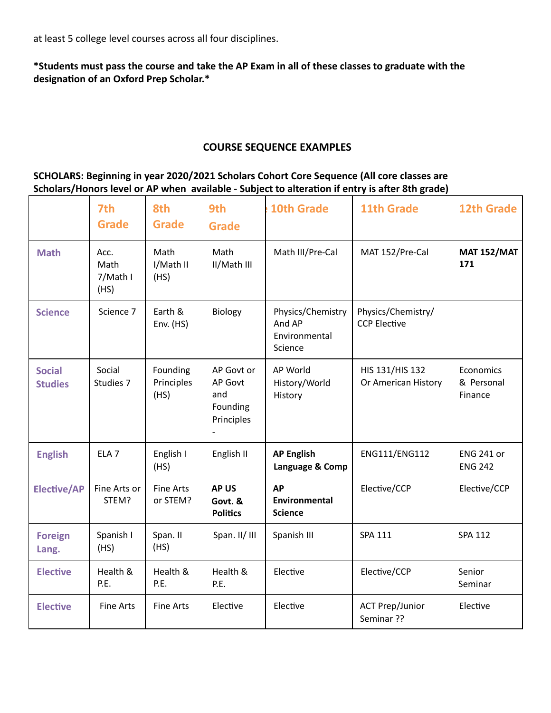at least 5 college level courses across all four disciplines.

**\*Students must pass the course and take the AP Exam in all of these classes to graduate with the** designation of an Oxford Prep Scholar.\*

# **COURSE SEQUENCE EXAMPLES**

# **SCHOLARS: Beginning in year 2020/2021 Scholars Cohort Core Sequence (All core classes are Scholars/Honors level or AP when available - Subject to alteraon if entry is aer 8th grade)**

|                                 | 7th<br><b>Grade</b>              | 8th<br><b>Grade</b>            | 9th<br><b>Grade</b>                                    | <b>10th Grade</b>                                                                                    | <b>11th Grade</b>                      | <b>12th Grade</b>                   |
|---------------------------------|----------------------------------|--------------------------------|--------------------------------------------------------|------------------------------------------------------------------------------------------------------|----------------------------------------|-------------------------------------|
| <b>Math</b>                     | Acc.<br>Math<br>7/Math I<br>(HS) | Math<br>I/Math II<br>(HS)      | Math<br>II/Math III                                    | Math III/Pre-Cal                                                                                     | MAT 152/Pre-Cal                        | <b>MAT 152/MAT</b><br>171           |
| <b>Science</b>                  | Science 7                        | Earth &<br>Env. $(HS)$         | Biology                                                | Physics/Chemistry/<br>Physics/Chemistry<br>And AP<br><b>CCP Elective</b><br>Environmental<br>Science |                                        |                                     |
| <b>Social</b><br><b>Studies</b> | Social<br>Studies 7              | Founding<br>Principles<br>(HS) | AP Govt or<br>AP Govt<br>and<br>Founding<br>Principles | AP World<br>History/World<br>History                                                                 | HIS 131/HIS 132<br>Or American History | Economics<br>& Personal<br>Finance  |
| <b>English</b>                  | ELA <sub>7</sub>                 | English I<br>(HS)              | English II                                             | <b>AP English</b><br>Language & Comp                                                                 | ENG111/ENG112                          | <b>ENG 241 or</b><br><b>ENG 242</b> |
| <b>Elective/AP</b>              | Fine Arts or<br>STEM?            | <b>Fine Arts</b><br>or STEM?   | <b>APUS</b><br>Govt. &<br><b>Politics</b>              | <b>AP</b><br>Environmental<br><b>Science</b>                                                         | Elective/CCP                           | Elective/CCP                        |
| <b>Foreign</b><br>Lang.         | Spanish I<br>(HS)                | Span. II<br>(HS)               | Span. II/ III                                          | <b>SPA 111</b><br>Spanish III                                                                        |                                        | <b>SPA 112</b>                      |
| <b>Elective</b>                 | Health &<br>P.E.                 | Health &<br>P.E.               | Health &<br>P.E.                                       | Elective                                                                                             | Elective/CCP                           | Senior<br>Seminar                   |
| <b>Elective</b>                 | <b>Fine Arts</b>                 | <b>Fine Arts</b>               | Elective                                               | Elective                                                                                             | <b>ACT Prep/Junior</b><br>Seminar ??   | Elective                            |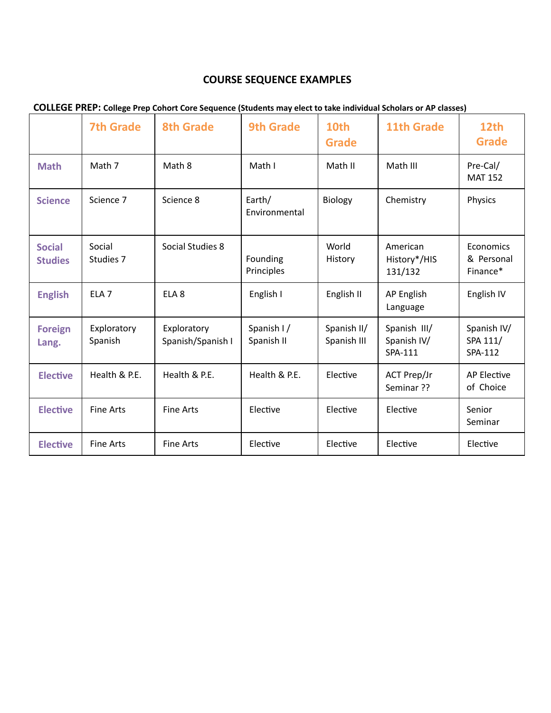# **COURSE SEQUENCE EXAMPLES**

|                                 | <b>7th Grade</b>       | <b>8th Grade</b>                 | <b>9th Grade</b>         | 10th<br><b>Grade</b>       | <b>11th Grade</b>                      | 12th<br><b>Grade</b>                |
|---------------------------------|------------------------|----------------------------------|--------------------------|----------------------------|----------------------------------------|-------------------------------------|
| <b>Math</b>                     | Math 7                 | Math 8                           | Math I                   | Math II                    | Math III                               | Pre-Cal/<br><b>MAT 152</b>          |
| <b>Science</b>                  | Science 7              | Science 8                        | Earth/<br>Environmental  | Biology                    | Chemistry                              | Physics                             |
| <b>Social</b><br><b>Studies</b> | Social<br>Studies 7    | Social Studies 8                 | Founding<br>Principles   | World<br>History           | American<br>History*/HIS<br>131/132    | Economics<br>& Personal<br>Finance* |
| <b>English</b>                  | ELA <sub>7</sub>       | ELA <sub>8</sub>                 | English I                | English II                 | AP English<br>Language                 | English IV                          |
| <b>Foreign</b><br>Lang.         | Exploratory<br>Spanish | Exploratory<br>Spanish/Spanish I | Spanish I/<br>Spanish II | Spanish II/<br>Spanish III | Spanish III/<br>Spanish IV/<br>SPA-111 | Spanish IV/<br>SPA 111/<br>SPA-112  |
| <b>Elective</b>                 | Health & P.E.          | Health & P.E.                    | Health & P.E.            | Elective                   | ACT Prep/Jr<br>Seminar ??              | <b>AP Elective</b><br>of Choice     |
| <b>Elective</b>                 | <b>Fine Arts</b>       | <b>Fine Arts</b>                 | Elective                 | Elective                   | Elective                               | Senior<br>Seminar                   |
| <b>Elective</b>                 | <b>Fine Arts</b>       | <b>Fine Arts</b>                 | Elective                 | Elective                   | Elective                               | Elective                            |

# **COLLEGE PREP: College Prep Cohort Core Sequence (Students may elect to take individual Scholars or AP classes)**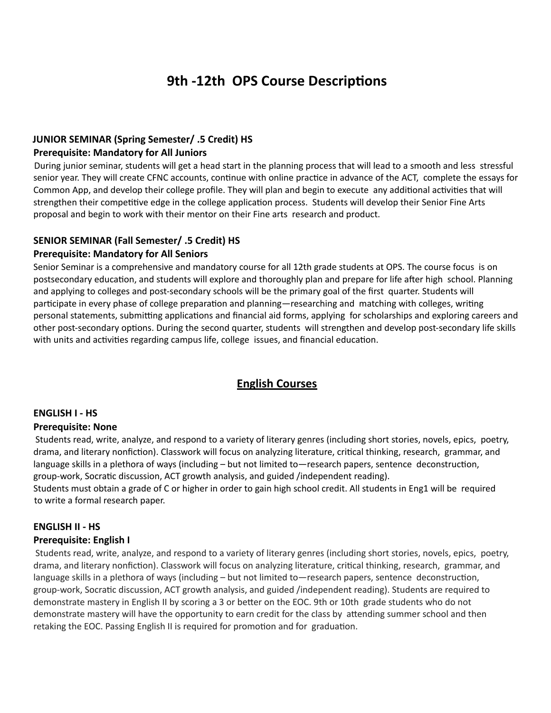# **9th -12th OPS Course Descriptions**

#### **JUNIOR SEMINAR (Spring Semester/ .5 Credit) HS Prerequisite: Mandatory for All Juniors**

During junior seminar, students will get a head start in the planning process that will lead to a smooth and less stressful senior year. They will create CFNC accounts, continue with online practice in advance of the ACT, complete the essays for Common App, and develop their college profile. They will plan and begin to execute any additional activities that will strengthen their competitive edge in the college application process. Students will develop their Senior Fine Arts proposal and begin to work with their mentor on their Fine arts research and product.

# **SENIOR SEMINAR (Fall Semester/ .5 Credit) HS**

#### **Prerequisite: Mandatory for All Seniors**

Senior Seminar is a comprehensive and mandatory course for all 12th grade students at OPS. The course focus is on postsecondary education, and students will explore and thoroughly plan and prepare for life after high school. Planning and applying to colleges and post-secondary schools will be the primary goal of the first quarter. Students will participate in every phase of college preparation and planning—researching and matching with colleges, writing personal statements, submitting applications and financial aid forms, applying for scholarships and exploring careers and other post-secondary options. During the second quarter, students will strengthen and develop post-secondary life skills with units and activities regarding campus life, college issues, and financial education.

# **English Courses**

# **ENGLISH I - HS**

#### **Prerequisite: None**

Students read, write, analyze, and respond to a variety of literary genres (including short stories, novels, epics, poetry, drama, and literary nonfiction). Classwork will focus on analyzing literature, critical thinking, research, grammar, and language skills in a plethora of ways (including – but not limited to—research papers, sentence deconstruction, group-work, Socratic discussion, ACT growth analysis, and guided /independent reading). Students must obtain a grade of C or higher in order to gain high school credit. All students in Eng1 will be required

# **ENGLISH II - HS**

#### **Prerequisite: English I**

to write a formal research paper.

Students read, write, analyze, and respond to a variety of literary genres (including short stories, novels, epics, poetry, drama, and literary nonfiction). Classwork will focus on analyzing literature, critical thinking, research, grammar, and language skills in a plethora of ways (including – but not limited to—research papers, sentence deconstruction, group-work, Socratic discussion, ACT growth analysis, and guided /independent reading). Students are required to demonstrate mastery in English II by scoring a 3 or better on the EOC. 9th or 10th grade students who do not demonstrate mastery will have the opportunity to earn credit for the class by attending summer school and then retaking the EOC. Passing English II is required for promotion and for graduation.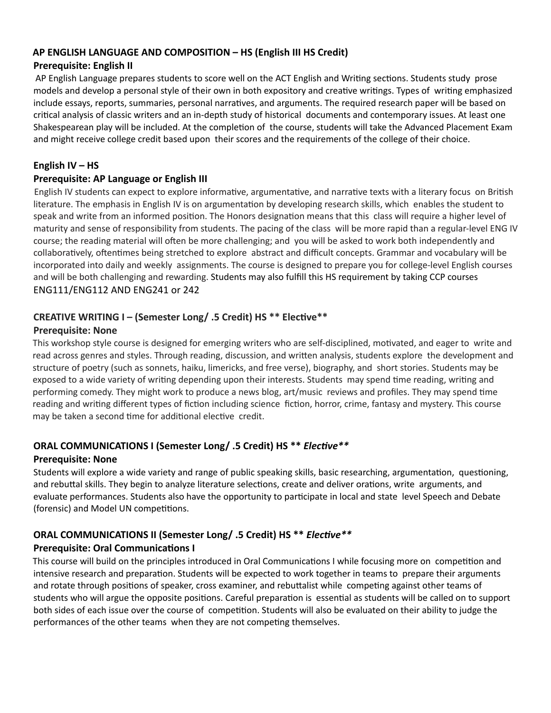#### **AP ENGLISH LANGUAGE AND COMPOSITION – HS (English III HS Credit)**

#### **Prerequisite: English II**

AP English Language prepares students to score well on the ACT English and Writing sections. Students study prose models and develop a personal style of their own in both expository and creative writings. Types of writing emphasized include essays, reports, summaries, personal narratives, and arguments. The required research paper will be based on critical analysis of classic writers and an in-depth study of historical documents and contemporary issues. At least one Shakespearean play will be included. At the completion of the course, students will take the Advanced Placement Exam and might receive college credit based upon their scores and the requirements of the college of their choice.

# **English IV – HS**

#### **Prerequisite: AP Language or English III**

English IV students can expect to explore informative, argumentative, and narrative texts with a literary focus on British literature. The emphasis in English IV is on argumentation by developing research skills, which enables the student to speak and write from an informed position. The Honors designation means that this class will require a higher level of maturity and sense of responsibility from students. The pacing of the class will be more rapid than a regular-level ENG IV course; the reading material will often be more challenging; and you will be asked to work both independently and collaboratively, oftentimes being stretched to explore abstract and difficult concepts. Grammar and vocabulary will be incorporated into daily and weekly assignments. The course is designed to prepare you for college-level English courses and will be both challenging and rewarding. Students may also fulfill this HS requirement by taking CCP courses ENG111/ENG112 AND ENG241 or 242

# **CREATIVE WRITING I – (Semester Long/ .5 Credit) HS \*\* Elective \*\***

#### **Prerequisite: None**

This workshop style course is designed for emerging writers who are self-disciplined, motivated, and eager to write and read across genres and styles. Through reading, discussion, and written analysis, students explore the development and structure of poetry (such as sonnets, haiku, limericks, and free verse), biography, and short stories. Students may be exposed to a wide variety of writing depending upon their interests. Students may spend time reading, writing and performing comedy. They might work to produce a news blog, art/music reviews and profiles. They may spend time reading and writing different types of fiction including science fiction, horror, crime, fantasy and mystery. This course may be taken a second time for additional elective credit.

# **ORAL COMMUNICATIONS I (Semester Long/ .5 Credit) HS \*\*** *Elective* **\*\***

# **Prerequisite: None**

Students will explore a wide variety and range of public speaking skills, basic researching, argumentation, questioning, and rebuttal skills. They begin to analyze literature selections, create and deliver orations, write arguments, and evaluate performances. Students also have the opportunity to participate in local and state level Speech and Debate (forensic) and Model UN competitions.

# **ORAL COMMUNICATIONS II (Semester Long/ .5 Credit) HS \*\*** *Elective* **\*\* Prerequisite: Oral Communications I**

This course will build on the principles introduced in Oral Communications I while focusing more on competition and intensive research and preparation. Students will be expected to work together in teams to prepare their arguments and rotate through positions of speaker, cross examiner, and rebuttalist while competing against other teams of students who will argue the opposite positions. Careful preparation is essential as students will be called on to support both sides of each issue over the course of competition. Students will also be evaluated on their ability to judge the performances of the other teams when they are not competing themselves.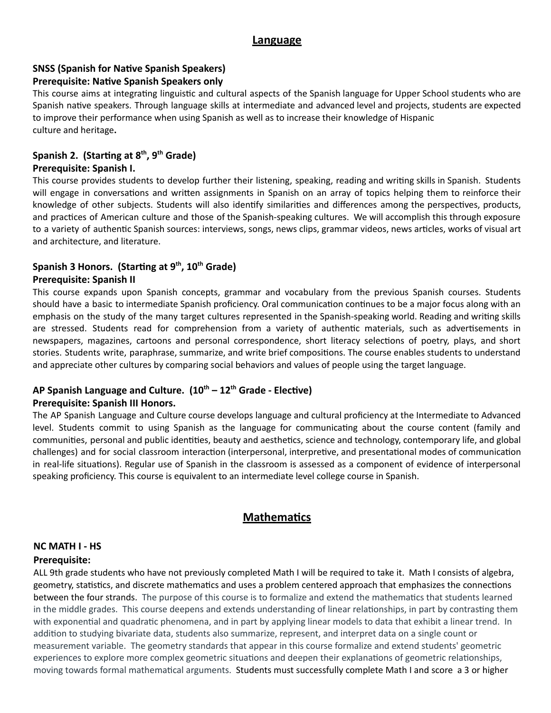#### **Language**

#### **SNSS (Spanish for Native Spanish Speakers)**

#### **Prerequisite: Native Spanish Speakers only**

This course aims at integrating linguistic and cultural aspects of the Spanish language for Upper School students who are Spanish native speakers. Through language skills at intermediate and advanced level and projects, students are expected to improve their performance when using Spanish as well as to increase their knowledge of Hispanic culture and heritage**.**

# **Spanish 2. (Starting at 8<sup>th</sup>, 9<sup>th</sup> Grade)**

#### **Prerequisite: Spanish I.**

This course provides students to develop further their listening, speaking, reading and writing skills in Spanish. Students will engage in conversations and written assignments in Spanish on an array of topics helping them to reinforce their knowledge of other subjects. Students will also identify similarities and differences among the perspectives, products, and practices of American culture and those of the Spanish-speaking cultures. We will accomplish this through exposure to a variety of authentic Spanish sources: interviews, songs, news clips, grammar videos, news articles, works of visual art and architecture, and literature.

# **Spanish 3 Honors. (Starting at 9<sup>th</sup>, 10<sup>th</sup> Grade)**

#### **Prerequisite: Spanish II**

This course expands upon Spanish concepts, grammar and vocabulary from the previous Spanish courses. Students should have a basic to intermediate Spanish proficiency. Oral communication continues to be a major focus along with an emphasis on the study of the many target cultures represented in the Spanish-speaking world. Reading and writing skills are stressed. Students read for comprehension from a variety of authentic materials, such as advertisements in newspapers, magazines, cartoons and personal correspondence, short literacy selections of poetry, plays, and short stories. Students write, paraphrase, summarize, and write brief compositions. The course enables students to understand and appreciate other cultures by comparing social behaviors and values of people using the target language.

# AP Spanish Language and Culture.  $(10^{th} - 12^{th}$  Grade - Elective)

#### **Prerequisite: Spanish III Honors.**

The AP Spanish Language and Culture course develops language and cultural proficiency at the Intermediate to Advanced level. Students commit to using Spanish as the language for communicating about the course content (family and communities, personal and public identities, beauty and aesthetics, science and technology, contemporary life, and global challenges) and for social classroom interaction (interpersonal, interpretive, and presentational modes of communication in real-life situations). Regular use of Spanish in the classroom is assessed as a component of evidence of interpersonal speaking proficiency. This course is equivalent to an intermediate level college course in Spanish.

# **Mathematics**

# **NC MATH I - HS**

#### **Prerequisite:**

ALL 9th grade students who have not previously completed Math I will be required to take it. Math I consists of algebra, geometry, statistics, and discrete mathematics and uses a problem centered approach that emphasizes the connections between the four strands. The purpose of this course is to formalize and extend the mathematics that students learned in the middle grades. This course deepens and extends understanding of linear relationships, in part by contrasting them with exponential and quadratic phenomena, and in part by applying linear models to data that exhibit a linear trend. In addition to studying bivariate data, students also summarize, represent, and interpret data on a single count or measurement variable. The geometry standards that appear in this course formalize and extend students' geometric experiences to explore more complex geometric situations and deepen their explanations of geometric relationships, moving towards formal mathematical arguments. Students must successfully complete Math I and score a 3 or higher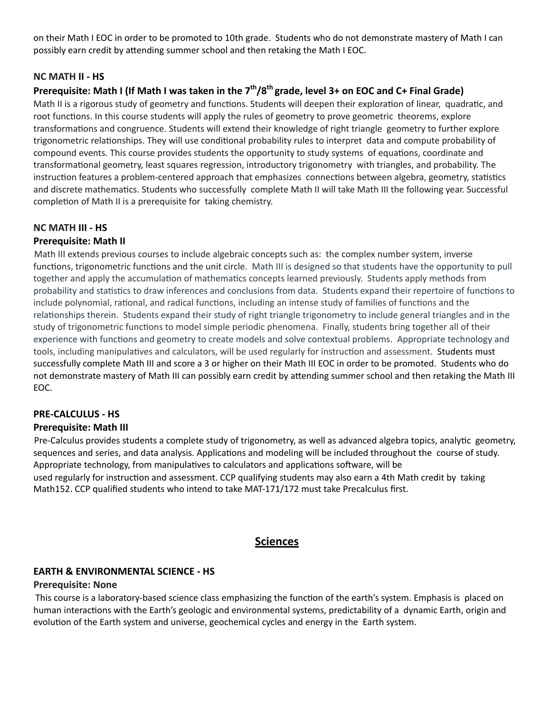on their Math I EOC in order to be promoted to 10th grade. Students who do not demonstrate mastery of Math I can possibly earn credit by attending summer school and then retaking the Math I EOC.

#### **NC MATH II - HS**

# **Prerequisite: Math I (If Math I was taken in the 7th /8th grade, level 3+ on EOC and C+ Final Grade)**

Math II is a rigorous study of geometry and functions. Students will deepen their exploration of linear, quadratic, and root functions. In this course students will apply the rules of geometry to prove geometric theorems, explore transformations and congruence. Students will extend their knowledge of right triangle geometry to further explore trigonometric relationships. They will use conditional probability rules to interpret data and compute probability of compound events. This course provides students the opportunity to study systems of equations, coordinate and transformational geometry, least squares regression, introductory trigonometry with triangles, and probability. The instruction features a problem-centered approach that emphasizes connections between algebra, geometry, statistics and discrete mathematics. Students who successfully complete Math II will take Math III the following year. Successful completion of Math II is a prerequisite for taking chemistry.

#### **NC MATH III - HS**

#### **Prerequisite: Math II**

Math III extends previous courses to include algebraic concepts such as: the complex number system, inverse functions, trigonometric functions and the unit circle. Math III is designed so that students have the opportunity to pull together and apply the accumulation of mathematics concepts learned previously. Students apply methods from probability and statistics to draw inferences and conclusions from data. Students expand their repertoire of functions to include polynomial, rational, and radical functions, including an intense study of families of functions and the relationships therein. Students expand their study of right triangle trigonometry to include general triangles and in the study of trigonometric functions to model simple periodic phenomena. Finally, students bring together all of their experience with functions and geometry to create models and solve contextual problems. Appropriate technology and tools, including manipulatives and calculators, will be used regularly for instruction and assessment. Students must successfully complete Math III and score a 3 or higher on their Math III EOC in order to be promoted. Students who do not demonstrate mastery of Math III can possibly earn credit by attending summer school and then retaking the Math III EOC.

# **PRE-CALCULUS - HS**

#### **Prerequisite: Math III**

Pre-Calculus provides students a complete study of trigonometry, as well as advanced algebra topics, analytic geometry, sequences and series, and data analysis. Applications and modeling will be included throughout the course of study. Appropriate technology, from manipulatives to calculators and applications software, will be used regularly for instruction and assessment. CCP qualifying students may also earn a 4th Math credit by taking Math152. CCP qualified students who intend to take MAT-171/172 must take Precalculus first.

# **Sciences**

#### **EARTH & ENVIRONMENTAL SCIENCE - HS**

#### **Prerequisite: None**

This course is a laboratory-based science class emphasizing the function of the earth's system. Emphasis is placed on human interactions with the Earth's geologic and environmental systems, predictability of a dynamic Earth, origin and evolution of the Earth system and universe, geochemical cycles and energy in the Earth system.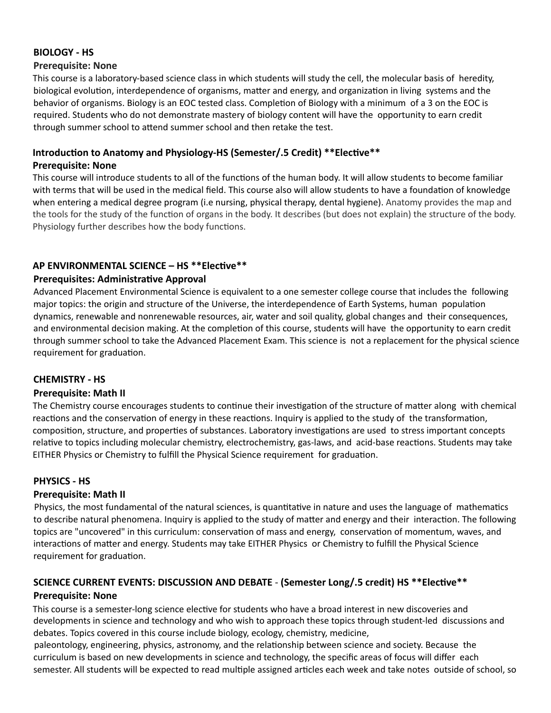# **BIOLOGY - HS**

#### **Prerequisite: None**

This course is a laboratory-based science class in which students will study the cell, the molecular basis of heredity, biological evolution, interdependence of organisms, matter and energy, and organization in living systems and the behavior of organisms. Biology is an EOC tested class. Completion of Biology with a minimum of a 3 on the EOC is required. Students who do not demonstrate mastery of biology content will have the opportunity to earn credit through summer school to attend summer school and then retake the test.

#### Introduction to Anatomy and Physiology-HS (Semester/.5 Credit) \*\*Elective\*\* **Prerequisite: None**

This course will introduce students to all of the functions of the human body. It will allow students to become familiar with terms that will be used in the medical field. This course also will allow students to have a foundation of knowledge when entering a medical degree program (i.e nursing, physical therapy, dental hygiene). Anatomy provides the map and the tools for the study of the function of organs in the body. It describes (but does not explain) the structure of the body. Physiology further describes how the body functions.

#### **AP ENVIRONMENTAL SCIENCE – HS \*\*Elective\*\***

#### **Prerequisites: Administrative Approval**

Advanced Placement Environmental Science is equivalent to a one semester college course that includes the following major topics: the origin and structure of the Universe, the interdependence of Earth Systems, human population dynamics, renewable and nonrenewable resources, air, water and soil quality, global changes and their consequences, and environmental decision making. At the completion of this course, students will have the opportunity to earn credit through summer school to take the Advanced Placement Exam. This science is not a replacement for the physical science requirement for graduation.

#### **CHEMISTRY - HS**

#### **Prerequisite: Math II**

The Chemistry course encourages students to continue their investigation of the structure of matter along with chemical reactions and the conservation of energy in these reactions. Inquiry is applied to the study of the transformation, composition, structure, and properties of substances. Laboratory investigations are used to stress important concepts relative to topics including molecular chemistry, electrochemistry, gas-laws, and acid-base reactions. Students may take EITHER Physics or Chemistry to fulfill the Physical Science requirement for graduation.

#### **PHYSICS - HS**

#### **Prerequisite: Math II**

Physics, the most fundamental of the natural sciences, is quantitative in nature and uses the language of mathematics to describe natural phenomena. Inquiry is applied to the study of matter and energy and their interaction. The following topics are "uncovered" in this curriculum: conservation of mass and energy, conservation of momentum, waves, and interactions of matter and energy. Students may take EITHER Physics or Chemistry to fulfill the Physical Science requirement for graduation.

# **SCIENCE CURRENT EVENTS: DISCUSSION AND DEBATE - (Semester Long/.5 credit) HS \*\*Elective\*\* Prerequisite: None**

This course is a semester-long science elective for students who have a broad interest in new discoveries and developments in science and technology and who wish to approach these topics through student-led discussions and debates. Topics covered in this course include biology, ecology, chemistry, medicine,

paleontology, engineering, physics, astronomy, and the relationship between science and society. Because the curriculum is based on new developments in science and technology, the specific areas of focus will differ each semester. All students will be expected to read multiple assigned articles each week and take notes outside of school, so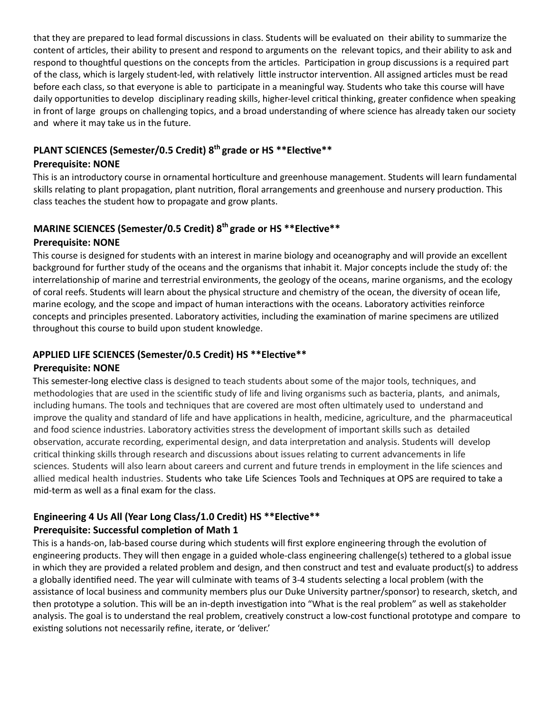that they are prepared to lead formal discussions in class. Students will be evaluated on their ability to summarize the content of articles, their ability to present and respond to arguments on the relevant topics, and their ability to ask and respond to thoughtful questions on the concepts from the articles. Participation in group discussions is a required part of the class, which is largely student-led, with relatively little instructor intervention. All assigned articles must be read before each class, so that everyone is able to participate in a meaningful way. Students who take this course will have daily opportunities to develop disciplinary reading skills, higher-level critical thinking, greater confidence when speaking in front of large groups on challenging topics, and a broad understanding of where science has already taken our society and where it may take us in the future.

# **PLANT SCIENCES (Semester/0.5 Credit) 8<sup>th</sup> grade or HS \*\*Elective\*\***

#### **Prerequisite: NONE**

This is an introductory course in ornamental horticulture and greenhouse management. Students will learn fundamental skills relating to plant propagation, plant nutrition, floral arrangements and greenhouse and nursery production. This class teaches the student how to propagate and grow plants.

# **MARINE SCIENCES (Semester/0.5 Credit) 8<sup>th</sup> grade or HS \*\*Elective\*\***

#### **Prerequisite: NONE**

This course is designed for students with an interest in marine biology and oceanography and will provide an excellent background for further study of the oceans and the organisms that inhabit it. Major concepts include the study of: the interrelationship of marine and terrestrial environments, the geology of the oceans, marine organisms, and the ecology of coral reefs. Students will learn about the physical structure and chemistry of the ocean, the diversity of ocean life, marine ecology, and the scope and impact of human interactions with the oceans. Laboratory activities reinforce concepts and principles presented. Laboratory activities, including the examination of marine specimens are utilized throughout this course to build upon student knowledge.

# APPLIED LIFE SCIENCES (Semester/0.5 Credit) HS \*\*Elective\*\*

# **Prerequisite: NONE**

This semester-long elective class is designed to teach students about some of the major tools, techniques, and methodologies that are used in the scientific study of life and living organisms such as bacteria, plants, and animals, including humans. The tools and techniques that are covered are most often ultimately used to understand and improve the quality and standard of life and have applications in health, medicine, agriculture, and the pharmaceutical and food science industries. Laboratory activities stress the development of important skills such as detailed observation, accurate recording, experimental design, and data interpretation and analysis. Students will develop critical thinking skills through research and discussions about issues relating to current advancements in life sciences. Students will also learn about careers and current and future trends in employment in the life sciences and allied medical health industries. Students who take Life Sciences Tools and Techniques at OPS are required to take a mid-term as well as a final exam for the class.

# **Engineering 4 Us All (Year Long Class/1.0 Credit) HS \*\*Elective\*\* Prerequisite: Successful completion of Math 1**

This is a hands-on, lab-based course during which students will first explore engineering through the evolution of engineering products. They will then engage in a guided whole-class engineering challenge(s) tethered to a global issue in which they are provided a related problem and design, and then construct and test and evaluate product(s) to address a globally identified need. The year will culminate with teams of 3-4 students selecting a local problem (with the assistance of local business and community members plus our Duke University partner/sponsor) to research, sketch, and then prototype a solution. This will be an in-depth investigation into "What is the real problem" as well as stakeholder analysis. The goal is to understand the real problem, creatively construct a low-cost functional prototype and compare to existing solutions not necessarily refine, iterate, or 'deliver.'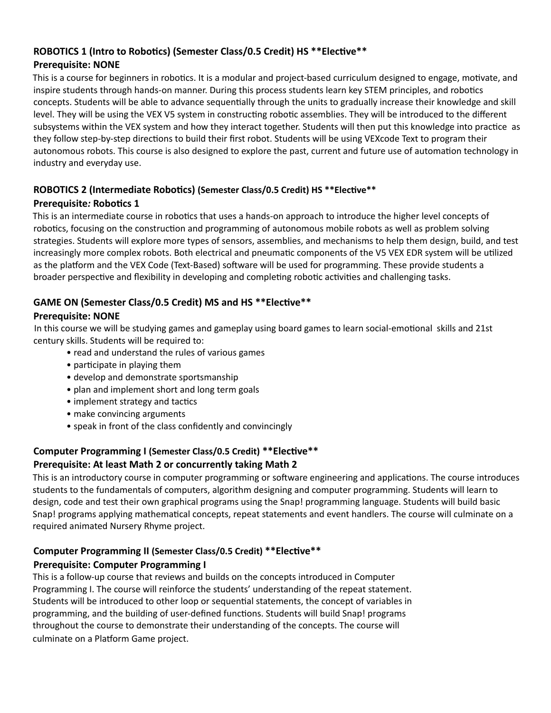# ROBOTICS 1 (Intro to Robotics) (Semester Class/0.5 Credit) HS \*\*Elective\*\* **Prerequisite: NONE**

This is a course for beginners in robotics. It is a modular and project-based curriculum designed to engage, motivate, and inspire students through hands-on manner. During this process students learn key STEM principles, and robotics concepts. Students will be able to advance sequentially through the units to gradually increase their knowledge and skill level. They will be using the VEX V5 system in constructing robotic assemblies. They will be introduced to the different subsystems within the VEX system and how they interact together. Students will then put this knowledge into practice as they follow step-by-step directions to build their first robot. Students will be using VEXcode Text to program their autonomous robots. This course is also designed to explore the past, current and future use of automation technology in industry and everyday use.

#### **ROBOTICS 2 (Intermediate Robotics) (Semester Class/0.5 Credit) HS \*\*Elective\*\* Prerequisite***:* **Robotics 1**

This is an intermediate course in robotics that uses a hands-on approach to introduce the higher level concepts of robotics, focusing on the construction and programming of autonomous mobile robots as well as problem solving strategies. Students will explore more types of sensors, assemblies, and mechanisms to help them design, build, and test increasingly more complex robots. Both electrical and pneumatic components of the V5 VEX EDR system will be utilized as the platform and the VEX Code (Text-Based) software will be used for programming. These provide students a broader perspective and flexibility in developing and completing robotic activities and challenging tasks.

# GAME ON (Semester Class/0.5 Credit) MS and HS<sup>\*\*</sup>Elective<sup>\*\*</sup>

# **Prerequisite: NONE**

In this course we will be studying games and gameplay using board games to learn social-emotional skills and 21st century skills. Students will be required to:

- read and understand the rules of various games
- participate in playing them
- develop and demonstrate sportsmanship
- plan and implement short and long term goals
- implement strategy and tactics
- make convincing arguments
- speak in front of the class confidently and convincingly

# **Computer Programming I (Semester Class/0.5 Credit) \*\* Elective \*\* Prerequisite: At least Math 2 or concurrently taking Math 2**

This is an introductory course in computer programming or software engineering and applications. The course introduces students to the fundamentals of computers, algorithm designing and computer programming. Students will learn to design, code and test their own graphical programs using the Snap! programming language. Students will build basic Snap! programs applying mathematical concepts, repeat statements and event handlers. The course will culminate on a required animated Nursery Rhyme project.

# **Computer Programming II (Semester Class/0.5 Credit) \*\* Elective \*\***

# **Prerequisite: Computer Programming I**

This is a follow-up course that reviews and builds on the concepts introduced in Computer Programming I. The course will reinforce the students' understanding of the repeat statement. Students will be introduced to other loop or sequential statements, the concept of variables in programming, and the building of user-defined functions. Students will build Snap! programs throughout the course to demonstrate their understanding of the concepts. The course will culminate on a Platform Game project.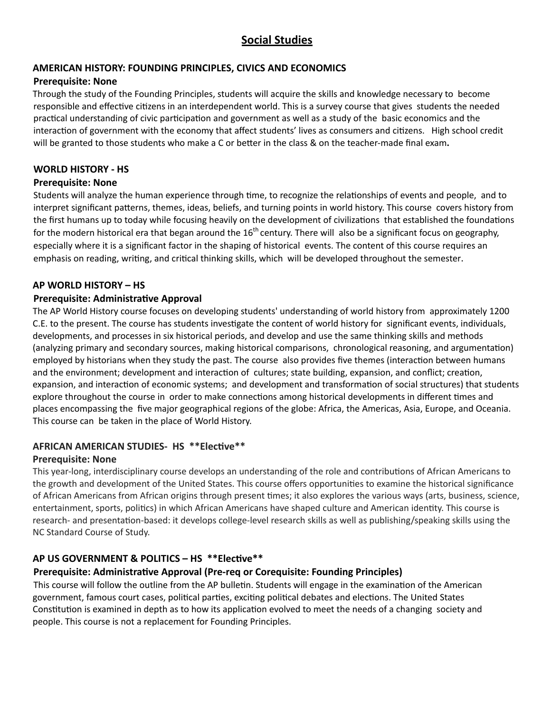# **Social Studies**

#### **AMERICAN HISTORY: FOUNDING PRINCIPLES, CIVICS AND ECONOMICS**

#### **Prerequisite: None**

Through the study of the Founding Principles, students will acquire the skills and knowledge necessary to become responsible and effective citizens in an interdependent world. This is a survey course that gives students the needed practical understanding of civic participation and government as well as a study of the basic economics and the interaction of government with the economy that affect students' lives as consumers and citizens. High school credit will be granted to those students who make a C or better in the class & on the teacher-made final exam.

#### **WORLD HISTORY - HS**

#### **Prerequisite: None**

Students will analyze the human experience through time, to recognize the relationships of events and people, and to interpret significant patterns, themes, ideas, beliefs, and turning points in world history. This course covers history from the first humans up to today while focusing heavily on the development of civilizations that established the foundations for the modern historical era that began around the 16<sup>th</sup> century. There will also be a significant focus on geography, especially where it is a significant factor in the shaping of historical events. The content of this course requires an emphasis on reading, writing, and critical thinking skills, which will be developed throughout the semester.

#### **AP WORLD HISTORY – HS**

#### **Prerequisite: Administrative Approval**

The AP World History course focuses on developing students' understanding of world history from approximately 1200 C.E. to the present. The course has students investigate the content of world history for significant events, individuals, developments, and processes in six historical periods, and develop and use the same thinking skills and methods (analyzing primary and secondary sources, making historical comparisons, chronological reasoning, and argumentation) employed by historians when they study the past. The course also provides five themes (interaction between humans and the environment; development and interaction of cultures; state building, expansion, and conflict; creation, expansion, and interaction of economic systems; and development and transformation of social structures) that students explore throughout the course in order to make connections among historical developments in different times and places encompassing the five major geographical regions of the globe: Africa, the Americas, Asia, Europe, and Oceania. This course can be taken in the place of World History.

#### **AFRICAN AMERICAN STUDIES- HS \*\*Elective\*\***

#### **Prerequisite: None**

This year-long, interdisciplinary course develops an understanding of the role and contributions of African Americans to the growth and development of the United States. This course offers opportunities to examine the historical significance of African Americans from African origins through present mes; it also explores the various ways (arts, business, science, entertainment, sports, politics) in which African Americans have shaped culture and American identity. This course is research- and presentation-based: it develops college-level research skills as well as publishing/speaking skills using the NC Standard Course of Study.

#### AP US GOVERNMENT & POLITICS - HS \*\*Elective\*\*

#### **Prerequisite: Administrative Approval (Pre-req or Corequisite: Founding Principles)**

This course will follow the outline from the AP bulletin. Students will engage in the examination of the American government, famous court cases, political parties, exciting political debates and elections. The United States Constitution is examined in depth as to how its application evolved to meet the needs of a changing society and people. This course is not a replacement for Founding Principles.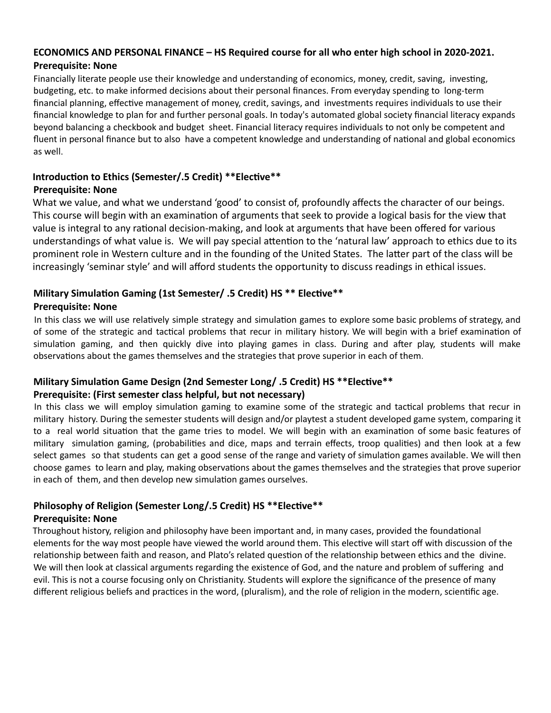#### **ECONOMICS AND PERSONAL FINANCE – HS Required course for all who enter high school in 2020-2021. Prerequisite: None**

Financially literate people use their knowledge and understanding of economics, money, credit, saving, investing, budgeting, etc. to make informed decisions about their personal finances. From everyday spending to long-term financial planning, effective management of money, credit, savings, and investments requires individuals to use their financial knowledge to plan for and further personal goals. In today's automated global society financial literacy expands beyond balancing a checkbook and budget sheet. Financial literacy requires individuals to not only be competent and fluent in personal finance but to also have a competent knowledge and understanding of national and global economics as well.

#### Introduction to Ethics (Semester/.5 Credit) \*\* Elective \*\* **Prerequisite: None**

What we value, and what we understand 'good' to consist of, profoundly affects the character of our beings. This course will begin with an examination of arguments that seek to provide a logical basis for the view that value is integral to any rational decision-making, and look at arguments that have been offered for various understandings of what value is. We will pay special attention to the 'natural law' approach to ethics due to its prominent role in Western culture and in the founding of the United States. The latter part of the class will be increasingly 'seminar style' and will afford students the opportunity to discuss readings in ethical issues.

# **Military Simulation Gaming (1st Semester/ .5 Credit) HS \*\* Elective \*\***

# **Prerequisite: None**

In this class we will use relatively simple strategy and simulation games to explore some basic problems of strategy, and of some of the strategic and tactical problems that recur in military history. We will begin with a brief examination of simulation gaming, and then quickly dive into playing games in class. During and after play, students will make observations about the games themselves and the strategies that prove superior in each of them.

# **Military Simulation Game Design (2nd Semester Long/ .5 Credit) HS \*\*Elective\*\* Prerequisite: (First semester class helpful, but not necessary)**

In this class we will employ simulation gaming to examine some of the strategic and tactical problems that recur in military history. During the semester students will design and/or playtest a student developed game system, comparing it to a real world situation that the game tries to model. We will begin with an examination of some basic features of military simulation gaming, (probabilities and dice, maps and terrain effects, troop qualities) and then look at a few select games so that students can get a good sense of the range and variety of simulation games available. We will then choose games to learn and play, making observations about the games themselves and the strategies that prove superior in each of them, and then develop new simulation games ourselves.

#### **Philosophy of Religion (Semester Long/.5 Credit) HS \*\*Elective\*\* Prerequisite: None**

Throughout history, religion and philosophy have been important and, in many cases, provided the foundational elements for the way most people have viewed the world around them. This elective will start off with discussion of the relationship between faith and reason, and Plato's related question of the relationship between ethics and the divine. We will then look at classical arguments regarding the existence of God, and the nature and problem of suffering and evil. This is not a course focusing only on Christianity. Students will explore the significance of the presence of many different religious beliefs and practices in the word, (pluralism), and the role of religion in the modern, scientific age.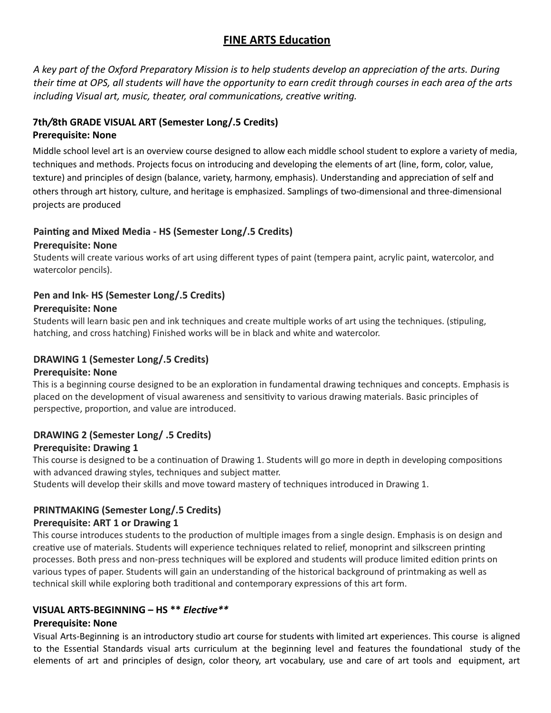# **FINE ARTS Education**

A key part of the Oxford Preparatory Mission is to help students develop an appreciation of the arts. During *their me at OPS, all students will have the opportunity to earn credit through courses in each area of the arts including Visual art, music, theater, oral communications, creative writing.* 

#### **7th***/***8th GRADE VISUAL ART (Semester Long/.5 Credits) Prerequisite: None**

Middle school level art is an overview course designed to allow each middle school student to explore a variety of media, techniques and methods. Projects focus on introducing and developing the elements of art (line, form, color, value, texture) and principles of design (balance, variety, harmony, emphasis). Understanding and appreciation of self and others through art history, culture, and heritage is emphasized. Samplings of two-dimensional and three-dimensional projects are produced

# Painting and Mixed Media - HS (Semester Long/.5 Credits)

#### **Prerequisite: None**

Students will create various works of art using different types of paint (tempera paint, acrylic paint, watercolor, and watercolor pencils).

# **Pen and Ink- HS (Semester Long/.5 Credits)**

#### **Prerequisite: None**

Students will learn basic pen and ink techniques and create multiple works of art using the techniques. (stipuling, hatching, and cross hatching) Finished works will be in black and white and watercolor.

# **DRAWING 1 (Semester Long/.5 Credits)**

#### **Prerequisite: None**

This is a beginning course designed to be an exploration in fundamental drawing techniques and concepts. Emphasis is placed on the development of visual awareness and sensitivity to various drawing materials. Basic principles of perspective, proportion, and value are introduced.

# **DRAWING 2 (Semester Long/ .5 Credits)**

# **Prerequisite: Drawing 1**

This course is designed to be a continuation of Drawing 1. Students will go more in depth in developing compositions with advanced drawing styles, techniques and subject matter.

Students will develop their skills and move toward mastery of techniques introduced in Drawing 1.

# **PRINTMAKING (Semester Long/.5 Credits)**

#### **Prerequisite: ART 1 or Drawing 1**

This course introduces students to the production of multiple images from a single design. Emphasis is on design and creative use of materials. Students will experience techniques related to relief, monoprint and silkscreen printing processes. Both press and non-press techniques will be explored and students will produce limited edition prints on various types of paper. Students will gain an understanding of the historical background of printmaking as well as technical skill while exploring both traditional and contemporary expressions of this art form.

# VISUAL ARTS-BEGINNING - HS<sup>\*\*</sup> *Elective*<sup>\*\*</sup>

#### **Prerequisite: None**

Visual Arts-Beginning is an introductory studio art course for students with limited art experiences. This course is aligned to the Essential Standards visual arts curriculum at the beginning level and features the foundational study of the elements of art and principles of design, color theory, art vocabulary, use and care of art tools and equipment, art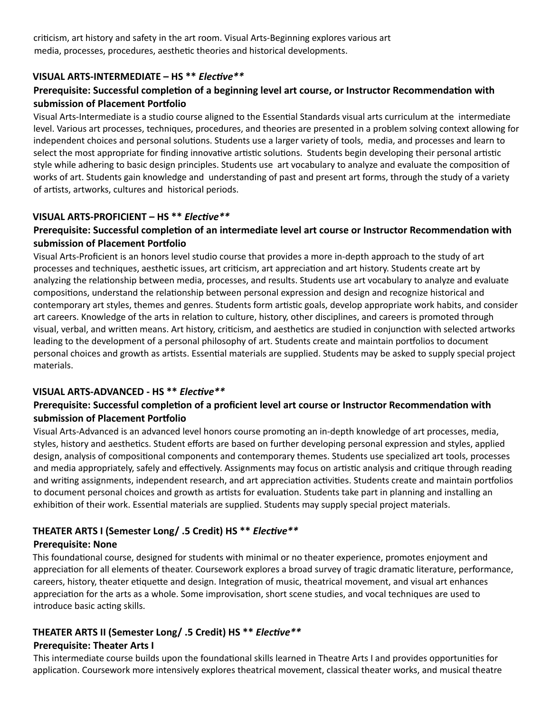criticism, art history and safety in the art room. Visual Arts-Beginning explores various art media, processes, procedures, aesthetic theories and historical developments.

#### VISUAL ARTS-INTERMEDIATE - HS<sup>\*\*</sup> *Elective*<sup>\*\*</sup>

#### **Prerequisite: Successful completion of a beginning level art course, or Instructor Recommendation with** submission of Placement Portfolio

Visual Arts-Intermediate is a studio course aligned to the Essential Standards visual arts curriculum at the intermediate level. Various art processes, techniques, procedures, and theories are presented in a problem solving context allowing for independent choices and personal solutions. Students use a larger variety of tools, media, and processes and learn to select the most appropriate for finding innovative artistic solutions. Students begin developing their personal artistic style while adhering to basic design principles. Students use art vocabulary to analyze and evaluate the composition of works of art. Students gain knowledge and understanding of past and present art forms, through the study of a variety of artists, artworks, cultures and historical periods.

#### VISUAL ARTS-PROFICIENT – HS<sup>\*\*</sup> *Elective*<sup>\*\*</sup>

#### **Prerequisite: Successful completion of an intermediate level art course or Instructor Recommendation with submission of Placement Portfolio**

Visual Arts-Proficient is an honors level studio course that provides a more in-depth approach to the study of art processes and techniques, aesthetic issues, art criticism, art appreciation and art history. Students create art by analyzing the relationship between media, processes, and results. Students use art vocabulary to analyze and evaluate compositions, understand the relationship between personal expression and design and recognize historical and contemporary art styles, themes and genres. Students form artistic goals, develop appropriate work habits, and consider art careers. Knowledge of the arts in relation to culture, history, other disciplines, and careers is promoted through visual, verbal, and written means. Art history, criticism, and aesthetics are studied in conjunction with selected artworks leading to the development of a personal philosophy of art. Students create and maintain portfolios to document personal choices and growth as artists. Essential materials are supplied. Students may be asked to supply special project materials.

#### **VISUAL ARTS-ADVANCED - HS \*\* Elective \*\***

#### Prerequisite: Successful completion of a proficient level art course or Instructor Recommendation with submission of Placement Portfolio

Visual Arts-Advanced is an advanced level honors course promoting an in-depth knowledge of art processes, media, styles, history and aesthetics. Student efforts are based on further developing personal expression and styles, applied design, analysis of compositional components and contemporary themes. Students use specialized art tools, processes and media appropriately, safely and effectively. Assignments may focus on artistic analysis and critique through reading and writing assignments, independent research, and art appreciation activities. Students create and maintain portfolios to document personal choices and growth as artists for evaluation. Students take part in planning and installing an exhibition of their work. Essential materials are supplied. Students may supply special project materials.

# **THEATER ARTS I (Semester Long/ .5 Credit) HS \*\*** *Elective* **\*\***

#### **Prerequisite: None**

This foundational course, designed for students with minimal or no theater experience, promotes enjoyment and appreciation for all elements of theater. Coursework explores a broad survey of tragic dramatic literature, performance, careers, history, theater etiquette and design. Integration of music, theatrical movement, and visual art enhances appreciation for the arts as a whole. Some improvisation, short scene studies, and vocal techniques are used to introduce basic acting skills.

#### **THEATER ARTS II (Semester Long/ .5 Credit) HS \*\*** *Elective* **\*\* Prerequisite: Theater Arts I**

This intermediate course builds upon the foundational skills learned in Theatre Arts I and provides opportunities for application. Coursework more intensively explores theatrical movement, classical theater works, and musical theatre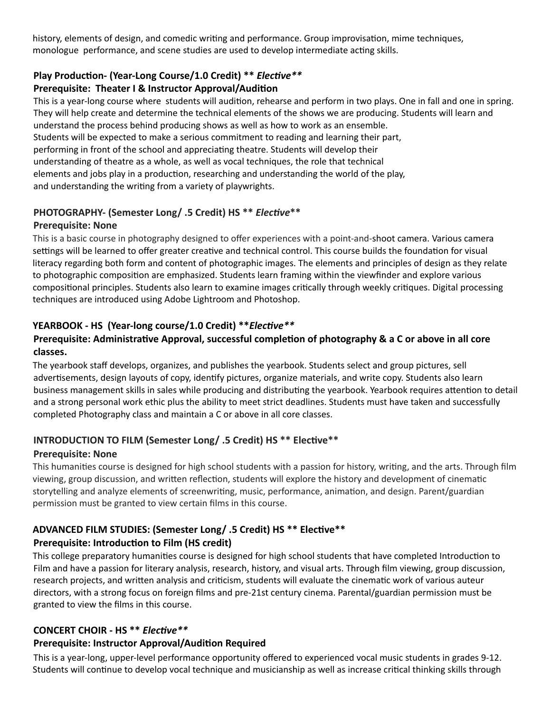history, elements of design, and comedic writing and performance. Group improvisation, mime techniques, monologue performance, and scene studies are used to develop intermediate acting skills.

# Play Production- (Year-Long Course/1.0 Credit) \*\* *Elective* \*\*

#### **Prerequisite: Theater I & Instructor Approval/Audition**

This is a year-long course where students will audition, rehearse and perform in two plays. One in fall and one in spring. They will help create and determine the technical elements of the shows we are producing. Students will learn and understand the process behind producing shows as well as how to work as an ensemble. Students will be expected to make a serious commitment to reading and learning their part, performing in front of the school and appreciating theatre. Students will develop their understanding of theatre as a whole, as well as vocal techniques, the role that technical elements and jobs play in a production, researching and understanding the world of the play,

and understanding the writing from a variety of playwrights.

# PHOTOGRAPHY- (Semester Long/ .5 Credit) HS \*\* *Elective* \*\*

#### **Prerequisite: None**

This is a basic course in photography designed to offer experiences with a point-and-shoot camera. Various camera settings will be learned to offer greater creative and technical control. This course builds the foundation for visual literacy regarding both form and content of photographic images. The elements and principles of design as they relate to photographic composition are emphasized. Students learn framing within the viewfinder and explore various compositional principles. Students also learn to examine images critically through weekly critiques. Digital processing techniques are introduced using Adobe Lightroom and Photoshop.

# YEARBOOK - HS (Year-long course/1.0 Credit) \*\**Elective* \*\*

#### **Prerequisite: Administrative Approval, successful completion of photography & a C or above in all core classes.**

The yearbook staff develops, organizes, and publishes the yearbook. Students select and group pictures, sell advertisements, design layouts of copy, identify pictures, organize materials, and write copy. Students also learn business management skills in sales while producing and distributing the yearbook. Yearbook requires attention to detail and a strong personal work ethic plus the ability to meet strict deadlines. Students must have taken and successfully completed Photography class and maintain a C or above in all core classes.

# INTRODUCTION TO FILM (Semester Long/ .5 Credit) HS \*\* Elective\*\*

# **Prerequisite: None**

This humanities course is designed for high school students with a passion for history, writing, and the arts. Through film viewing, group discussion, and written reflection, students will explore the history and development of cinematic storytelling and analyze elements of screenwriting, music, performance, animation, and design. Parent/guardian permission must be granted to view certain films in this course.

# ADVANCED FILM STUDIES: (Semester Long/ .5 Credit) HS \*\* Elective \*\* **Prerequisite: Introduction to Film (HS credit)**

This college preparatory humanities course is designed for high school students that have completed Introduction to Film and have a passion for literary analysis, research, history, and visual arts. Through film viewing, group discussion, research projects, and written analysis and criticism, students will evaluate the cinematic work of various auteur directors, with a strong focus on foreign films and pre-21st century cinema. Parental/guardian permission must be granted to view the films in this course.

# **CONCERT CHOIR - HS \*\* Elective \*\***

# **Prerequisite: Instructor Approval/Audition Required**

This is a year-long, upper-level performance opportunity offered to experienced vocal music students in grades 9-12. Students will continue to develop vocal technique and musicianship as well as increase critical thinking skills through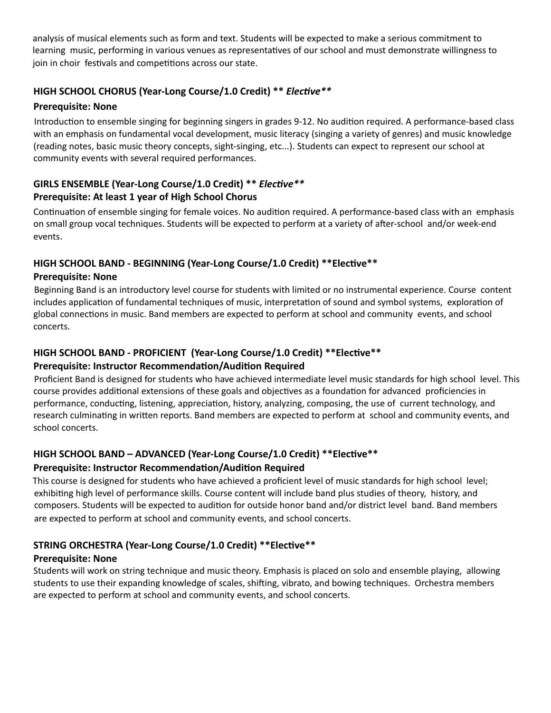analysis of musical elements such as form and text. Students will be expected to make a serious commitment to learning music, performing in various venues as representatives of our school and must demonstrate willingness to join in choir festivals and competitions across our state.

# HIGH SCHOOL CHORUS (Year-Long Course/1.0 Credit) \*\* *Elective* \*\*

#### **Prerequisite: None**

Introduction to ensemble singing for beginning singers in grades 9-12. No audition required. A performance-based class with an emphasis on fundamental vocal development, music literacy (singing a variety of genres) and music knowledge (reading notes, basic music theory concepts, sight-singing, etc...). Students can expect to represent our school at community events with several required performances.

# **GIRLS ENSEMBLE (Year-Long Course/1.0 Credit) \*\*** *Elective* **\*\* Prerequisite: At least 1 year of High School Chorus**

Continuation of ensemble singing for female voices. No audition required. A performance-based class with an emphasis on small group vocal techniques. Students will be expected to perform at a variety of after-school and/or week-end events.

# HIGH SCHOOL BAND - BEGINNING (Year-Long Course/1.0 Credit) \*\* Elective \*\*

#### **Prerequisite: None**

Beginning Band is an introductory level course for students with limited or no instrumental experience. Course content includes application of fundamental techniques of music, interpretation of sound and symbol systems, exploration of global connections in music. Band members are expected to perform at school and community events, and school concerts.

# **HIGH SCHOOL BAND - PROFICIENT (Year-Long Course/1.0 Credit) \*\*Elective\*\***

# **Prerequisite: Instructor Recommendation/Audition Required**

Proficient Band is designed for students who have achieved intermediate level music standards for high school level. This course provides additional extensions of these goals and objectives as a foundation for advanced proficiencies in performance, conducting, listening, appreciation, history, analyzing, composing, the use of current technology, and research culminating in written reports. Band members are expected to perform at school and community events, and school concerts.

# **HIGH SCHOOL BAND – ADVANCED (Year-Long Course/1.0 Credit) \*\*Elective\*\***

# **Prerequisite: Instructor Recommendation/Audition Required**

This course is designed for students who have achieved a proficient level of music standards for high school level; exhibiting high level of performance skills. Course content will include band plus studies of theory, history, and composers. Students will be expected to audition for outside honor band and/or district level band. Band members are expected to perform at school and community events, and school concerts.

# **STRING ORCHESTRA (Year-Long Course/1.0 Credit) \*\*Elective\*\***

# **Prerequisite: None**

Students will work on string technique and music theory. Emphasis is placed on solo and ensemble playing, allowing students to use their expanding knowledge of scales, shifting, vibrato, and bowing techniques. Orchestra members are expected to perform at school and community events, and school concerts.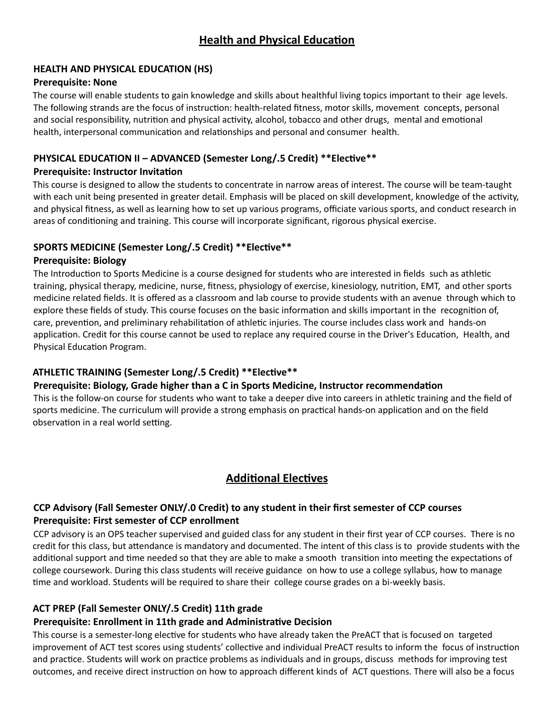# **HEALTH AND PHYSICAL EDUCATION (HS)**

#### **Prerequisite: None**

The course will enable students to gain knowledge and skills about healthful living topics important to their age levels. The following strands are the focus of instruction: health-related fitness, motor skills, movement concepts, personal and social responsibility, nutrition and physical activity, alcohol, tobacco and other drugs, mental and emotional health, interpersonal communication and relationships and personal and consumer health.

# **PHYSICAL EDUCATION II - ADVANCED (Semester Long/.5 Credit) \*\*Elective\*\***

#### **Prerequisite: Instructor Invitation**

This course is designed to allow the students to concentrate in narrow areas of interest. The course will be team-taught with each unit being presented in greater detail. Emphasis will be placed on skill development, knowledge of the activity, and physical fitness, as well as learning how to set up various programs, officiate various sports, and conduct research in areas of conditioning and training. This course will incorporate significant, rigorous physical exercise.

# SPORTS MEDICINE (Semester Long/.5 Credit) \*\* Elective \*\*

#### **Prerequisite: Biology**

The Introduction to Sports Medicine is a course designed for students who are interested in fields such as athletic training, physical therapy, medicine, nurse, fitness, physiology of exercise, kinesiology, nutrition, EMT, and other sports medicine related fields. It is offered as a classroom and lab course to provide students with an avenue through which to explore these fields of study. This course focuses on the basic information and skills important in the recognition of, care, prevention, and preliminary rehabilitation of athletic injuries. The course includes class work and hands-on application. Credit for this course cannot be used to replace any required course in the Driver's Education, Health, and Physical Education Program.

# ATHLETIC TRAINING (Semester Long/.5 Credit) \*\* Elective \*\*

# Prerequisite: Biology, Grade higher than a C in Sports Medicine, Instructor recommendation

This is the follow-on course for students who want to take a deeper dive into careers in athletic training and the field of sports medicine. The curriculum will provide a strong emphasis on practical hands-on application and on the field observation in a real world setting.

# **Additional Electives**

# **CCP Advisory (Fall Semester ONLY/.0 Credit) to any student in their first semester of CCP courses Prerequisite: First semester of CCP enrollment**

CCP advisory is an OPS teacher supervised and guided class for any student in their first year of CCP courses. There is no credit for this class, but attendance is mandatory and documented. The intent of this class is to provide students with the additional support and time needed so that they are able to make a smooth transition into meeting the expectations of college coursework. During this class students will receive guidance on how to use a college syllabus, how to manage time and workload. Students will be required to share their college course grades on a bi-weekly basis.

# **ACT PREP (Fall Semester ONLY/.5 Credit) 11th grade**

# **Prerequisite: Enrollment in 11th grade and Administrative Decision**

This course is a semester-long elective for students who have already taken the PreACT that is focused on targeted improvement of ACT test scores using students' collective and individual PreACT results to inform the focus of instruction and practice. Students will work on practice problems as individuals and in groups, discuss methods for improving test outcomes, and receive direct instruction on how to approach different kinds of ACT questions. There will also be a focus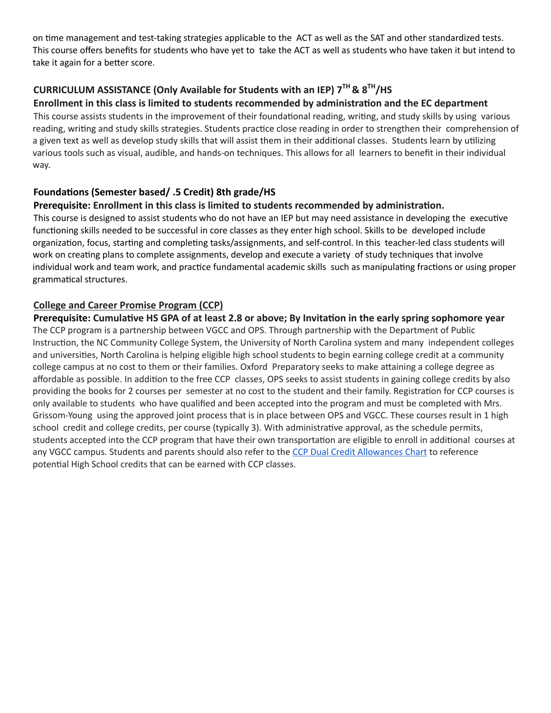on time management and test-taking strategies applicable to the ACT as well as the SAT and other standardized tests. This course offers benefits for students who have yet to take the ACT as well as students who have taken it but intend to take it again for a better score.

# **CURRICULUM ASSISTANCE (Only Available for Students with an IEP) 7TH & 8TH /HS**

#### Enrollment in this class is limited to students recommended by administration and the EC department

This course assists students in the improvement of their foundational reading, writing, and study skills by using various reading, writing and study skills strategies. Students practice close reading in order to strengthen their comprehension of a given text as well as develop study skills that will assist them in their additional classes. Students learn by utilizing various tools such as visual, audible, and hands-on techniques. This allows for all learners to benefit in their individual way.

# **Foundations (Semester based/ .5 Credit) 8th grade/HS**

#### **Prerequisite:** Enrollment in this class is limited to students recommended by administration.

This course is designed to assist students who do not have an IEP but may need assistance in developing the executive functioning skills needed to be successful in core classes as they enter high school. Skills to be developed include organization, focus, starting and completing tasks/assignments, and self-control. In this teacher-led class students will work on creating plans to complete assignments, develop and execute a variety of study techniques that involve individual work and team work, and practice fundamental academic skills such as manipulating fractions or using proper grammatical structures.

#### **College and Career Promise Program (CCP)**

**Prerequisite: Cumulative HS GPA of at least 2.8 or above; By Invitation in the early spring sophomore year** The CCP program is a partnership between VGCC and OPS. Through partnership with the Department of Public Instruction, the NC Community College System, the University of North Carolina system and many independent colleges and universities, North Carolina is helping eligible high school students to begin earning college credit at a community college campus at no cost to them or their families. Oxford Preparatory seeks to make attaining a college degree as affordable as possible. In addition to the free CCP classes, OPS seeks to assist students in gaining college credits by also providing the books for 2 courses per semester at no cost to the student and their family. Registration for CCP courses is only available to students who have qualified and been accepted into the program and must be completed with Mrs. Grissom-Young using the approved joint process that is in place between OPS and VGCC. These courses result in 1 high school credit and college credits, per course (typically 3). With administrative approval, as the schedule permits, students accepted into the CCP program that have their own transportation are eligible to enroll in additional courses at any VGCC campus. Students and parents should also refer to the CCP Dual Credit [Allowances](https://www.dpi.nc.gov/media/10212/download?attachment) Chart to reference potential High School credits that can be earned with CCP classes.